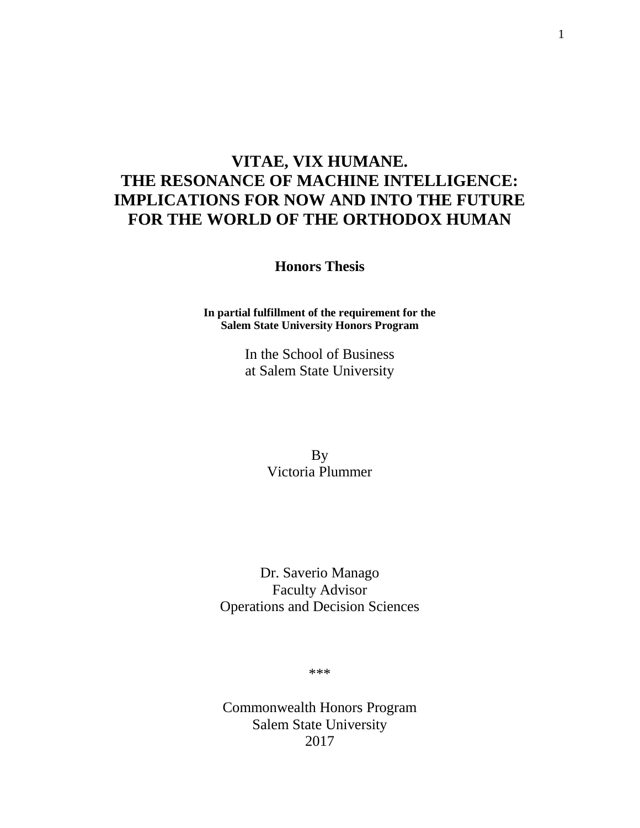# **VITAE, VIX HUMANE. THE RESONANCE OF MACHINE INTELLIGENCE: IMPLICATIONS FOR NOW AND INTO THE FUTURE FOR THE WORLD OF THE ORTHODOX HUMAN**

**Honors Thesis**

**In partial fulfillment of the requirement for the Salem State University Honors Program**

> In the School of Business at Salem State University

> > By Victoria Plummer

Dr. Saverio Manago Faculty Advisor Operations and Decision Sciences

\*\*\*

Commonwealth Honors Program Salem State University 2017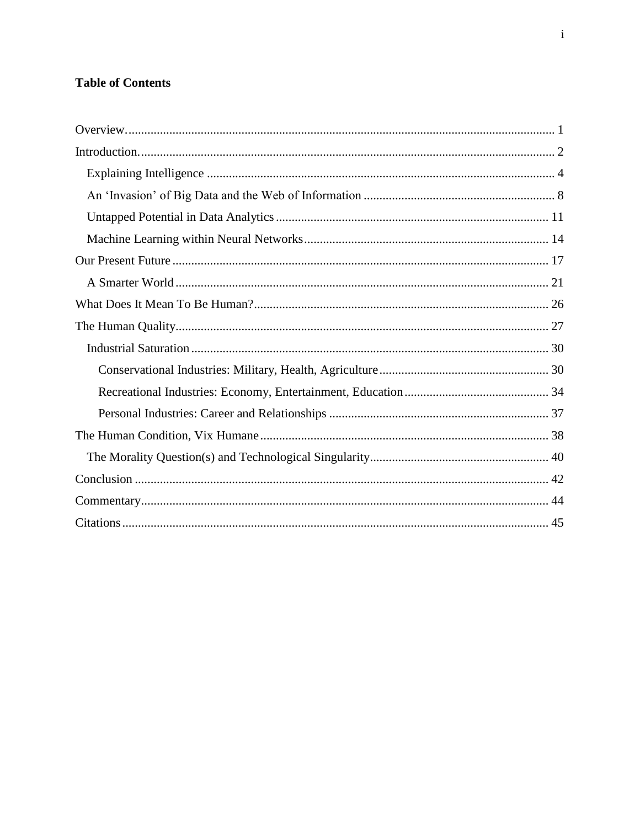## **Table of Contents**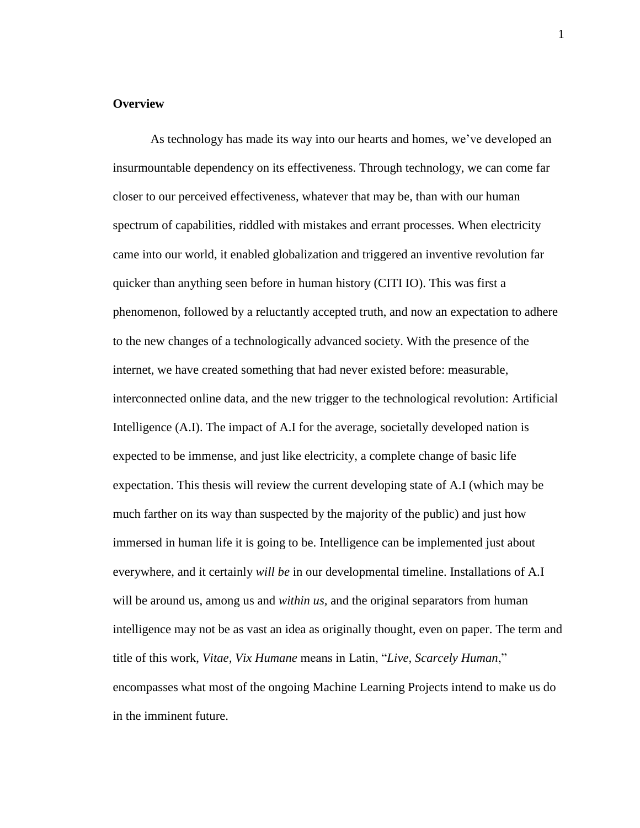## <span id="page-2-0"></span>**Overview**

As technology has made its way into our hearts and homes, we've developed an insurmountable dependency on its effectiveness. Through technology, we can come far closer to our perceived effectiveness, whatever that may be, than with our human spectrum of capabilities, riddled with mistakes and errant processes. When electricity came into our world, it enabled globalization and triggered an inventive revolution far quicker than anything seen before in human history (CITI IO). This was first a phenomenon, followed by a reluctantly accepted truth, and now an expectation to adhere to the new changes of a technologically advanced society. With the presence of the internet, we have created something that had never existed before: measurable, interconnected online data, and the new trigger to the technological revolution: Artificial Intelligence (A.I). The impact of A.I for the average, societally developed nation is expected to be immense, and just like electricity, a complete change of basic life expectation. This thesis will review the current developing state of A.I (which may be much farther on its way than suspected by the majority of the public) and just how immersed in human life it is going to be. Intelligence can be implemented just about everywhere, and it certainly *will be* in our developmental timeline. Installations of A.I will be around us, among us and *within us*, and the original separators from human intelligence may not be as vast an idea as originally thought, even on paper. The term and title of this work, *Vitae, Vix Humane* means in Latin, "*Live, Scarcely Human*," encompasses what most of the ongoing Machine Learning Projects intend to make us do in the imminent future.

1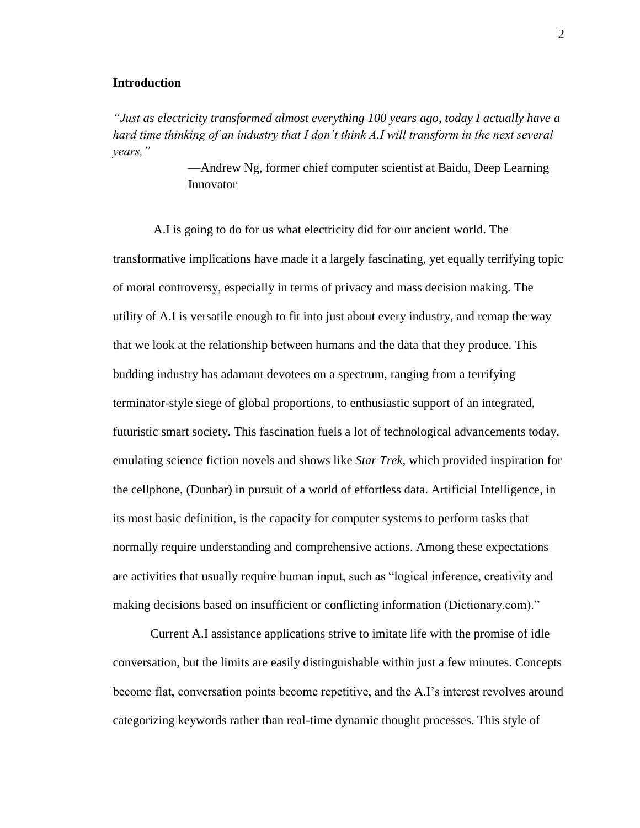## <span id="page-3-0"></span>**Introduction**

*"Just as electricity transformed almost everything 100 years ago, today I actually have a hard time thinking of an industry that I don't think A.I will transform in the next several years,"*

> —Andrew Ng, former chief computer scientist at Baidu, Deep Learning Innovator

A.I is going to do for us what electricity did for our ancient world. The transformative implications have made it a largely fascinating, yet equally terrifying topic of moral controversy, especially in terms of privacy and mass decision making. The utility of A.I is versatile enough to fit into just about every industry, and remap the way that we look at the relationship between humans and the data that they produce. This budding industry has adamant devotees on a spectrum, ranging from a terrifying terminator-style siege of global proportions, to enthusiastic support of an integrated, futuristic smart society. This fascination fuels a lot of technological advancements today, emulating science fiction novels and shows like *Star Trek,* which provided inspiration for the cellphone, (Dunbar) in pursuit of a world of effortless data. Artificial Intelligence, in its most basic definition, is the capacity for computer systems to perform tasks that normally require understanding and comprehensive actions. Among these expectations are activities that usually require human input, such as "logical inference, creativity and making decisions based on insufficient or conflicting information (Dictionary.com)."

Current A.I assistance applications strive to imitate life with the promise of idle conversation, but the limits are easily distinguishable within just a few minutes. Concepts become flat, conversation points become repetitive, and the A.I's interest revolves around categorizing keywords rather than real-time dynamic thought processes. This style of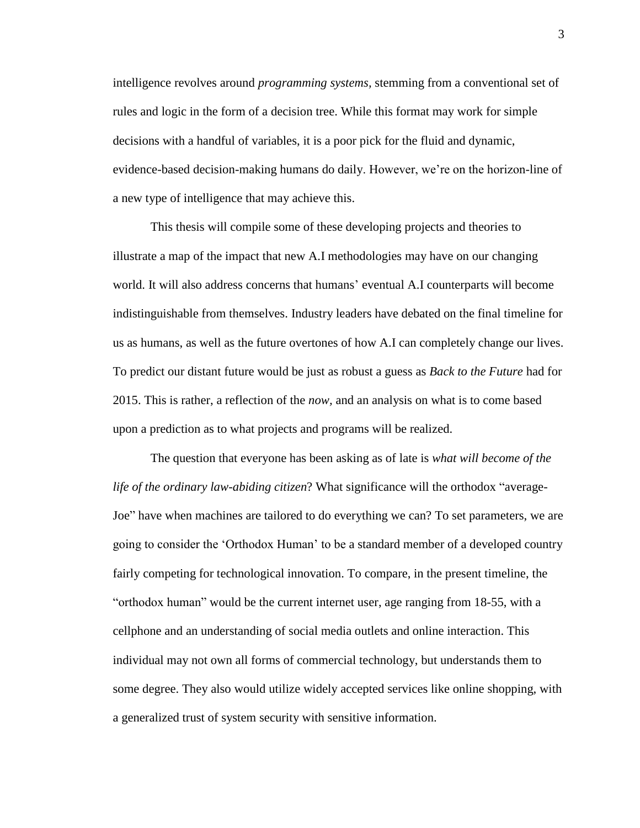intelligence revolves around *programming systems,* stemming from a conventional set of rules and logic in the form of a decision tree. While this format may work for simple decisions with a handful of variables, it is a poor pick for the fluid and dynamic, evidence-based decision-making humans do daily. However, we're on the horizon-line of a new type of intelligence that may achieve this.

This thesis will compile some of these developing projects and theories to illustrate a map of the impact that new A.I methodologies may have on our changing world. It will also address concerns that humans' eventual A.I counterparts will become indistinguishable from themselves. Industry leaders have debated on the final timeline for us as humans, as well as the future overtones of how A.I can completely change our lives. To predict our distant future would be just as robust a guess as *Back to the Future* had for 2015. This is rather, a reflection of the *now,* and an analysis on what is to come based upon a prediction as to what projects and programs will be realized.

The question that everyone has been asking as of late is *what will become of the life of the ordinary law-abiding citizen*? What significance will the orthodox "average-Joe" have when machines are tailored to do everything we can? To set parameters, we are going to consider the 'Orthodox Human' to be a standard member of a developed country fairly competing for technological innovation. To compare, in the present timeline, the "orthodox human" would be the current internet user, age ranging from 18-55, with a cellphone and an understanding of social media outlets and online interaction. This individual may not own all forms of commercial technology, but understands them to some degree. They also would utilize widely accepted services like online shopping, with a generalized trust of system security with sensitive information.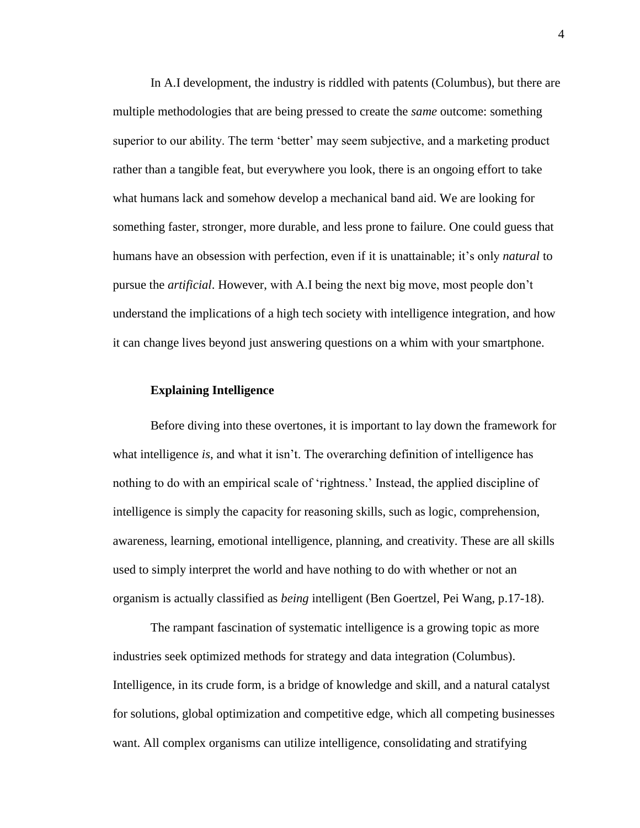In A.I development, the industry is riddled with patents (Columbus), but there are multiple methodologies that are being pressed to create the *same* outcome: something superior to our ability. The term 'better' may seem subjective, and a marketing product rather than a tangible feat, but everywhere you look, there is an ongoing effort to take what humans lack and somehow develop a mechanical band aid. We are looking for something faster, stronger, more durable, and less prone to failure. One could guess that humans have an obsession with perfection, even if it is unattainable; it's only *natural* to pursue the *artificial*. However, with A.I being the next big move, most people don't understand the implications of a high tech society with intelligence integration, and how it can change lives beyond just answering questions on a whim with your smartphone.

## <span id="page-5-0"></span>**Explaining Intelligence**

Before diving into these overtones, it is important to lay down the framework for what intelligence *is*, and what it isn't. The overarching definition of intelligence has nothing to do with an empirical scale of 'rightness.' Instead, the applied discipline of intelligence is simply the capacity for reasoning skills, such as logic, comprehension, awareness, learning, emotional intelligence, planning, and creativity. These are all skills used to simply interpret the world and have nothing to do with whether or not an organism is actually classified as *being* intelligent (Ben Goertzel, Pei Wang, p.17-18).

The rampant fascination of systematic intelligence is a growing topic as more industries seek optimized methods for strategy and data integration (Columbus). Intelligence, in its crude form, is a bridge of knowledge and skill, and a natural catalyst for solutions, global optimization and competitive edge, which all competing businesses want. All complex organisms can utilize intelligence, consolidating and stratifying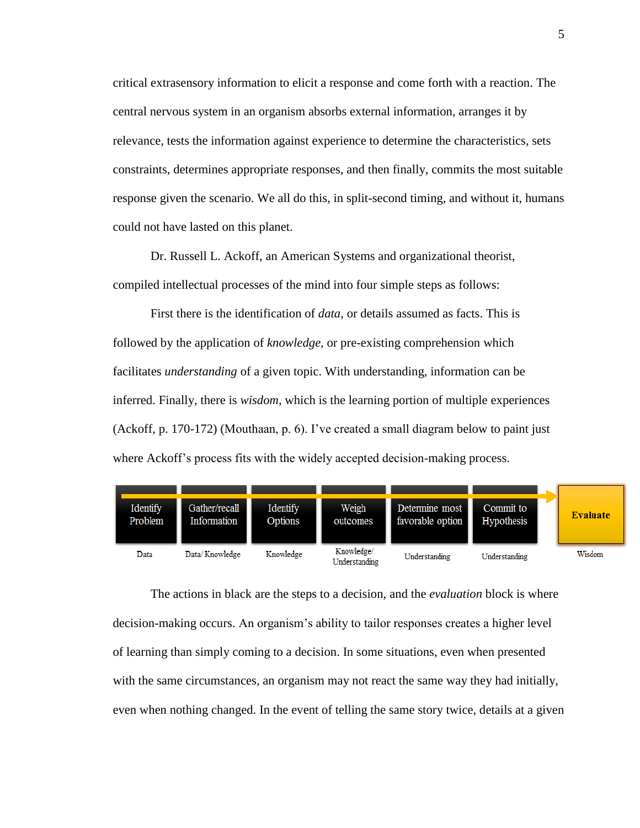critical extrasensory information to elicit a response and come forth with a reaction. The central nervous system in an organism absorbs external information, arranges it by relevance, tests the information against experience to determine the characteristics, sets constraints, determines appropriate responses, and then finally, commits the most suitable response given the scenario. We all do this, in split-second timing, and without it, humans could not have lasted on this planet.

Dr. Russell L. Ackoff, an American Systems and organizational theorist, compiled intellectual processes of the mind into four simple steps as follows:

First there is the identification of *data*, or details assumed as facts. This is followed by the application of *knowledge,* or pre-existing comprehension which facilitates *understanding* of a given topic. With understanding, information can be inferred. Finally, there is *wisdom,* which is the learning portion of multiple experiences (Ackoff, p. 170-172) (Mouthaan, p. 6). I've created a small diagram below to paint just where Ackoff's process fits with the widely accepted decision-making process.



The actions in black are the steps to a decision, and the *evaluation* block is where decision-making occurs. An organism's ability to tailor responses creates a higher level of learning than simply coming to a decision. In some situations, even when presented with the same circumstances, an organism may not react the same way they had initially, even when nothing changed. In the event of telling the same story twice, details at a given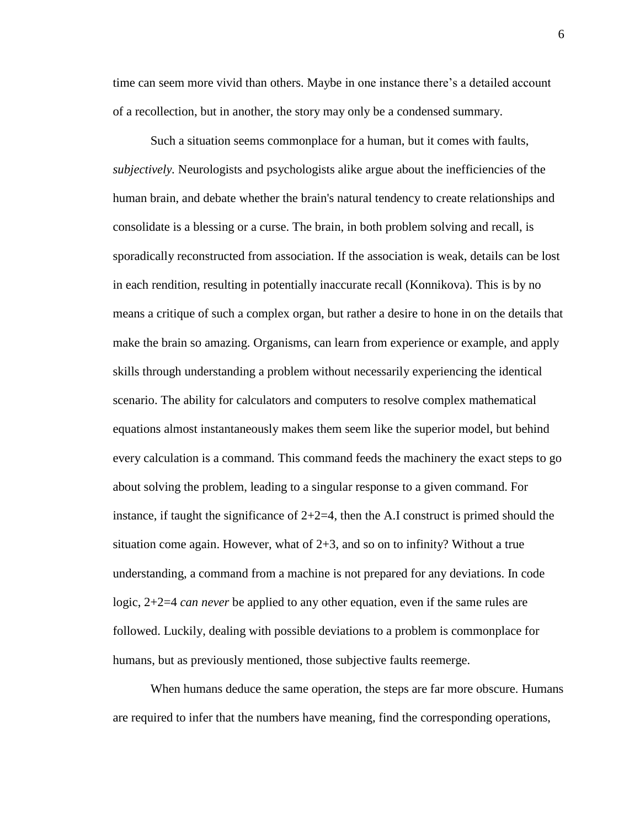time can seem more vivid than others. Maybe in one instance there's a detailed account of a recollection, but in another, the story may only be a condensed summary.

Such a situation seems commonplace for a human, but it comes with faults, *subjectively.* Neurologists and psychologists alike argue about the inefficiencies of the human brain, and debate whether the brain's natural tendency to create relationships and consolidate is a blessing or a curse. The brain, in both problem solving and recall, is sporadically reconstructed from association. If the association is weak, details can be lost in each rendition, resulting in potentially inaccurate recall (Konnikova). This is by no means a critique of such a complex organ, but rather a desire to hone in on the details that make the brain so amazing. Organisms, can learn from experience or example, and apply skills through understanding a problem without necessarily experiencing the identical scenario. The ability for calculators and computers to resolve complex mathematical equations almost instantaneously makes them seem like the superior model, but behind every calculation is a command. This command feeds the machinery the exact steps to go about solving the problem, leading to a singular response to a given command. For instance, if taught the significance of  $2+2=4$ , then the A.I construct is primed should the situation come again. However, what of  $2+3$ , and so on to infinity? Without a true understanding, a command from a machine is not prepared for any deviations. In code logic, 2+2=4 *can never* be applied to any other equation, even if the same rules are followed. Luckily, dealing with possible deviations to a problem is commonplace for humans, but as previously mentioned, those subjective faults reemerge.

When humans deduce the same operation, the steps are far more obscure. Humans are required to infer that the numbers have meaning, find the corresponding operations,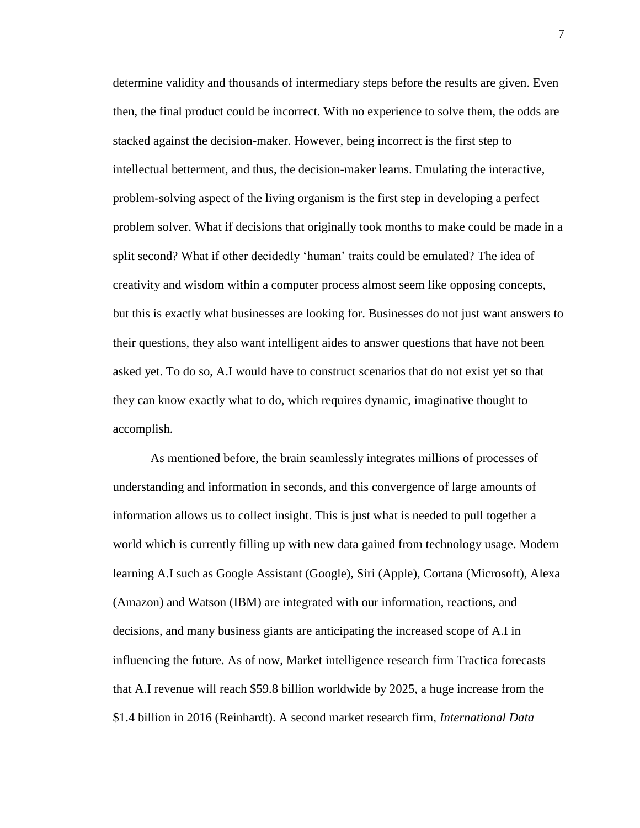determine validity and thousands of intermediary steps before the results are given. Even then, the final product could be incorrect. With no experience to solve them, the odds are stacked against the decision-maker. However, being incorrect is the first step to intellectual betterment, and thus, the decision-maker learns. Emulating the interactive, problem-solving aspect of the living organism is the first step in developing a perfect problem solver. What if decisions that originally took months to make could be made in a split second? What if other decidedly 'human' traits could be emulated? The idea of creativity and wisdom within a computer process almost seem like opposing concepts, but this is exactly what businesses are looking for. Businesses do not just want answers to their questions, they also want intelligent aides to answer questions that have not been asked yet. To do so, A.I would have to construct scenarios that do not exist yet so that they can know exactly what to do, which requires dynamic, imaginative thought to accomplish.

As mentioned before, the brain seamlessly integrates millions of processes of understanding and information in seconds, and this convergence of large amounts of information allows us to collect insight. This is just what is needed to pull together a world which is currently filling up with new data gained from technology usage. Modern learning A.I such as Google Assistant (Google), Siri (Apple), Cortana (Microsoft), Alexa (Amazon) and Watson (IBM) are integrated with our information, reactions, and decisions, and many business giants are anticipating the increased scope of A.I in influencing the future. As of now, Market intelligence research firm Tractica forecasts that A.I revenue will reach \$59.8 billion worldwide by 2025, a huge increase from the \$1.4 billion in 2016 (Reinhardt). A second market research firm, *International Data*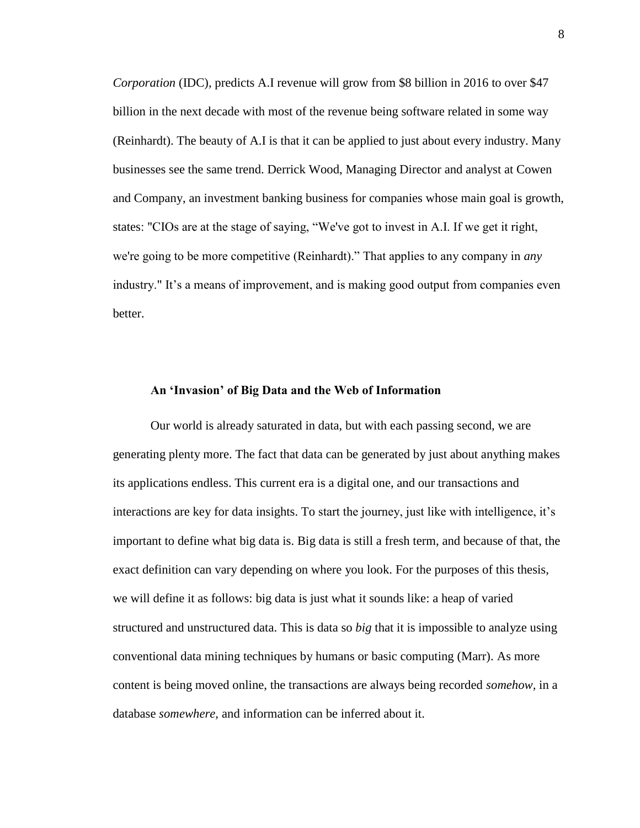*Corporation* (IDC)*,* predicts A.I revenue will grow from \$8 billion in 2016 to over \$47 billion in the next decade with most of the revenue being software related in some way (Reinhardt). The beauty of A.I is that it can be applied to just about every industry. Many businesses see the same trend. Derrick Wood, Managing Director and analyst at Cowen and Company, an investment banking business for companies whose main goal is growth, states: "CIOs are at the stage of saying, "We've got to invest in A.I. If we get it right, we're going to be more competitive (Reinhardt)." That applies to any company in *any* industry." It's a means of improvement, and is making good output from companies even better.

## <span id="page-9-0"></span>**An 'Invasion' of Big Data and the Web of Information**

Our world is already saturated in data, but with each passing second, we are generating plenty more. The fact that data can be generated by just about anything makes its applications endless. This current era is a digital one, and our transactions and interactions are key for data insights. To start the journey, just like with intelligence, it's important to define what big data is. Big data is still a fresh term, and because of that, the exact definition can vary depending on where you look. For the purposes of this thesis, we will define it as follows: big data is just what it sounds like: a heap of varied structured and unstructured data. This is data so *big* that it is impossible to analyze using conventional data mining techniques by humans or basic computing (Marr). As more content is being moved online, the transactions are always being recorded *somehow,* in a database *somewhere,* and information can be inferred about it.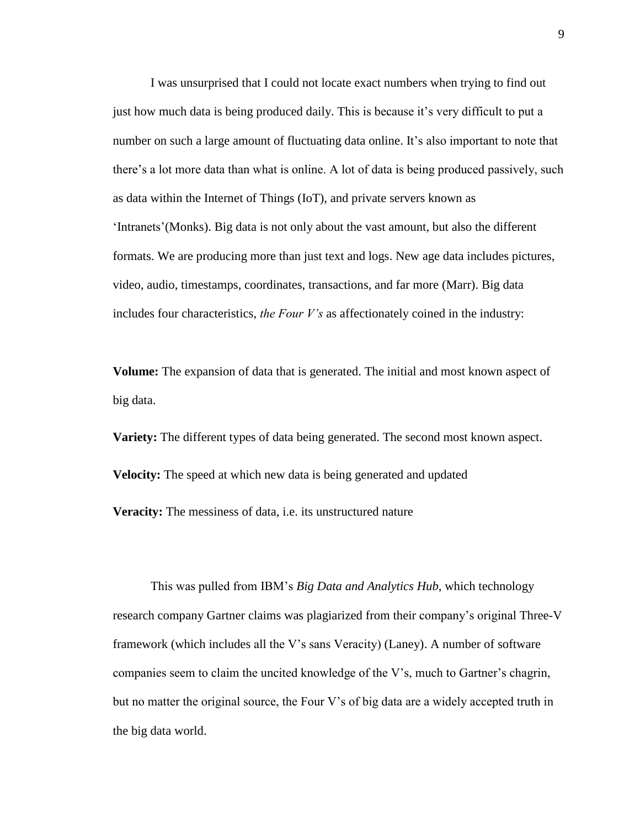I was unsurprised that I could not locate exact numbers when trying to find out just how much data is being produced daily. This is because it's very difficult to put a number on such a large amount of fluctuating data online. It's also important to note that there's a lot more data than what is online. A lot of data is being produced passively, such as data within the Internet of Things (IoT), and private servers known as 'Intranets'(Monks). Big data is not only about the vast amount, but also the different formats. We are producing more than just text and logs. New age data includes pictures, video, audio, timestamps, coordinates, transactions, and far more (Marr). Big data includes four characteristics, *the Four V's* as affectionately coined in the industry:

**Volume:** The expansion of data that is generated. The initial and most known aspect of big data.

**Variety:** The different types of data being generated. The second most known aspect. **Velocity:** The speed at which new data is being generated and updated **Veracity:** The messiness of data, i.e. its unstructured nature

This was pulled from IBM's *Big Data and Analytics Hub*, which technology research company Gartner claims was plagiarized from their company's original Three-V framework (which includes all the V's sans Veracity) (Laney). A number of software companies seem to claim the uncited knowledge of the V's, much to Gartner's chagrin, but no matter the original source, the Four V's of big data are a widely accepted truth in the big data world.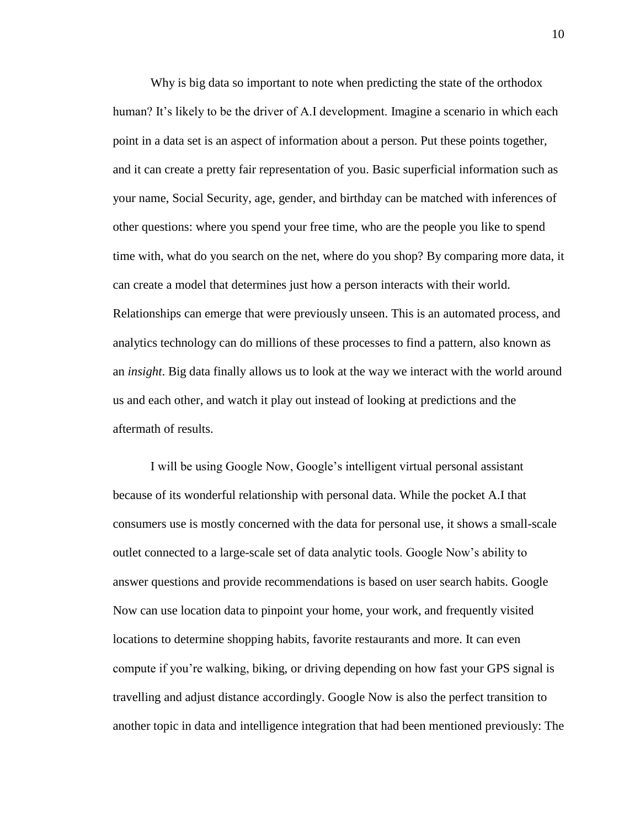Why is big data so important to note when predicting the state of the orthodox human? It's likely to be the driver of A.I development. Imagine a scenario in which each point in a data set is an aspect of information about a person. Put these points together, and it can create a pretty fair representation of you. Basic superficial information such as your name, Social Security, age, gender, and birthday can be matched with inferences of other questions: where you spend your free time, who are the people you like to spend time with, what do you search on the net, where do you shop? By comparing more data, it can create a model that determines just how a person interacts with their world. Relationships can emerge that were previously unseen. This is an automated process, and analytics technology can do millions of these processes to find a pattern, also known as an *insight*. Big data finally allows us to look at the way we interact with the world around us and each other, and watch it play out instead of looking at predictions and the aftermath of results.

I will be using Google Now, Google's intelligent virtual personal assistant because of its wonderful relationship with personal data. While the pocket A.I that consumers use is mostly concerned with the data for personal use, it shows a small-scale outlet connected to a large-scale set of data analytic tools. Google Now's ability to answer questions and provide recommendations is based on user search habits. Google Now can use location data to pinpoint your home, your work, and frequently visited locations to determine shopping habits, favorite restaurants and more. It can even compute if you're walking, biking, or driving depending on how fast your GPS signal is travelling and adjust distance accordingly. Google Now is also the perfect transition to another topic in data and intelligence integration that had been mentioned previously: The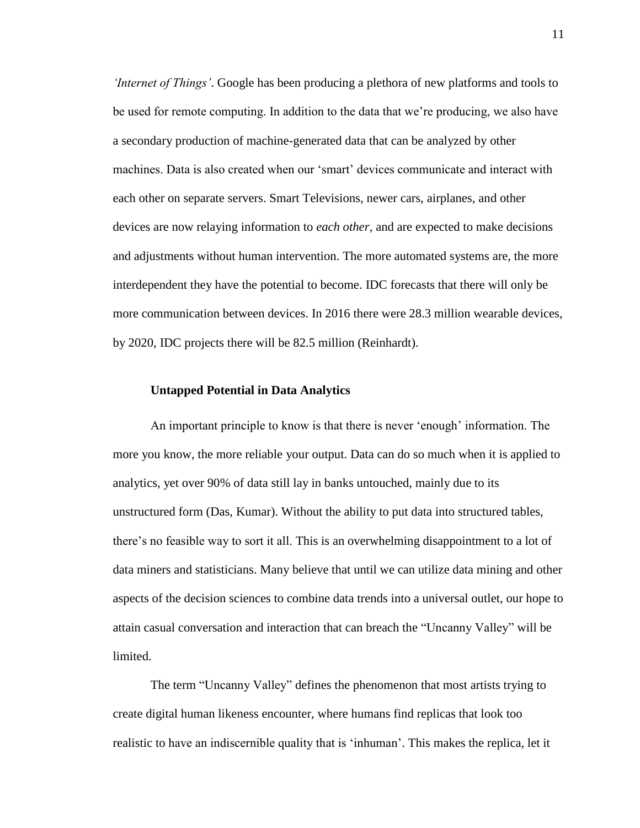*'Internet of Things'*. Google has been producing a plethora of new platforms and tools to be used for remote computing. In addition to the data that we're producing, we also have a secondary production of machine-generated data that can be analyzed by other machines. Data is also created when our 'smart' devices communicate and interact with each other on separate servers. Smart Televisions, newer cars, airplanes, and other devices are now relaying information to *each other,* and are expected to make decisions and adjustments without human intervention. The more automated systems are, the more interdependent they have the potential to become. IDC forecasts that there will only be more communication between devices. In 2016 there were 28.3 million wearable devices, by 2020, IDC projects there will be 82.5 million (Reinhardt).

## <span id="page-12-0"></span>**Untapped Potential in Data Analytics**

An important principle to know is that there is never 'enough' information. The more you know, the more reliable your output. Data can do so much when it is applied to analytics, yet over 90% of data still lay in banks untouched, mainly due to its unstructured form (Das, Kumar). Without the ability to put data into structured tables, there's no feasible way to sort it all. This is an overwhelming disappointment to a lot of data miners and statisticians. Many believe that until we can utilize data mining and other aspects of the decision sciences to combine data trends into a universal outlet, our hope to attain casual conversation and interaction that can breach the "Uncanny Valley" will be limited.

The term "Uncanny Valley" defines the phenomenon that most artists trying to create digital human likeness encounter, where humans find replicas that look too realistic to have an indiscernible quality that is 'inhuman'. This makes the replica, let it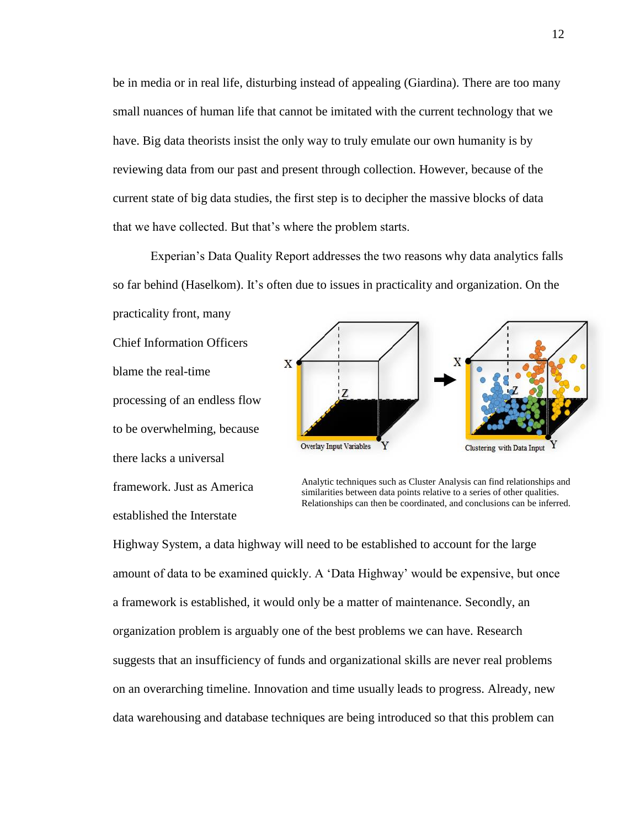be in media or in real life, disturbing instead of appealing (Giardina). There are too many small nuances of human life that cannot be imitated with the current technology that we have. Big data theorists insist the only way to truly emulate our own humanity is by reviewing data from our past and present through collection. However, because of the current state of big data studies, the first step is to decipher the massive blocks of data that we have collected. But that's where the problem starts.

Experian's Data Quality Report addresses the two reasons why data analytics falls so far behind (Haselkom). It's often due to issues in practicality and organization. On the practicality front, many

Chief Information Officers blame the real-time processing of an endless flow to be overwhelming, because there lacks a universal framework. Just as America established the Interstate



Analytic techniques such as Cluster Analysis can find relationships and similarities between data points relative to a series of other qualities. Relationships can then be coordinated, and conclusions can be inferred.

Highway System, a data highway will need to be established to account for the large amount of data to be examined quickly. A 'Data Highway' would be expensive, but once a framework is established, it would only be a matter of maintenance. Secondly, an organization problem is arguably one of the best problems we can have. Research suggests that an insufficiency of funds and organizational skills are never real problems on an overarching timeline. Innovation and time usually leads to progress. Already, new data warehousing and database techniques are being introduced so that this problem can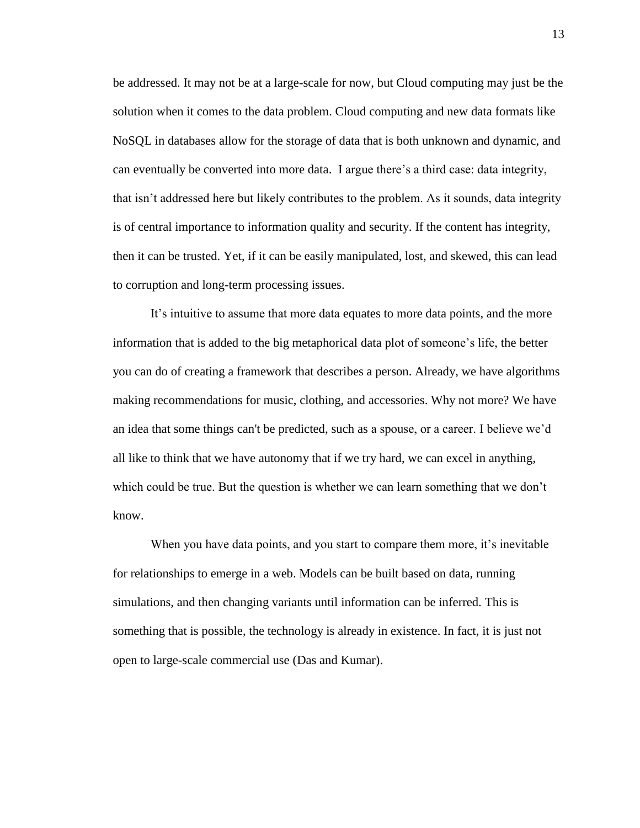be addressed. It may not be at a large-scale for now, but Cloud computing may just be the solution when it comes to the data problem. Cloud computing and new data formats like NoSQL in databases allow for the storage of data that is both unknown and dynamic, and can eventually be converted into more data. I argue there's a third case: data integrity, that isn't addressed here but likely contributes to the problem. As it sounds, data integrity is of central importance to information quality and security. If the content has integrity, then it can be trusted. Yet, if it can be easily manipulated, lost, and skewed, this can lead to corruption and long-term processing issues.

It's intuitive to assume that more data equates to more data points, and the more information that is added to the big metaphorical data plot of someone's life, the better you can do of creating a framework that describes a person. Already, we have algorithms making recommendations for music, clothing, and accessories. Why not more? We have an idea that some things can't be predicted, such as a spouse, or a career. I believe we'd all like to think that we have autonomy that if we try hard, we can excel in anything, which could be true. But the question is whether we can learn something that we don't know.

When you have data points, and you start to compare them more, it's inevitable for relationships to emerge in a web. Models can be built based on data, running simulations, and then changing variants until information can be inferred. This is something that is possible, the technology is already in existence. In fact, it is just not open to large-scale commercial use (Das and Kumar).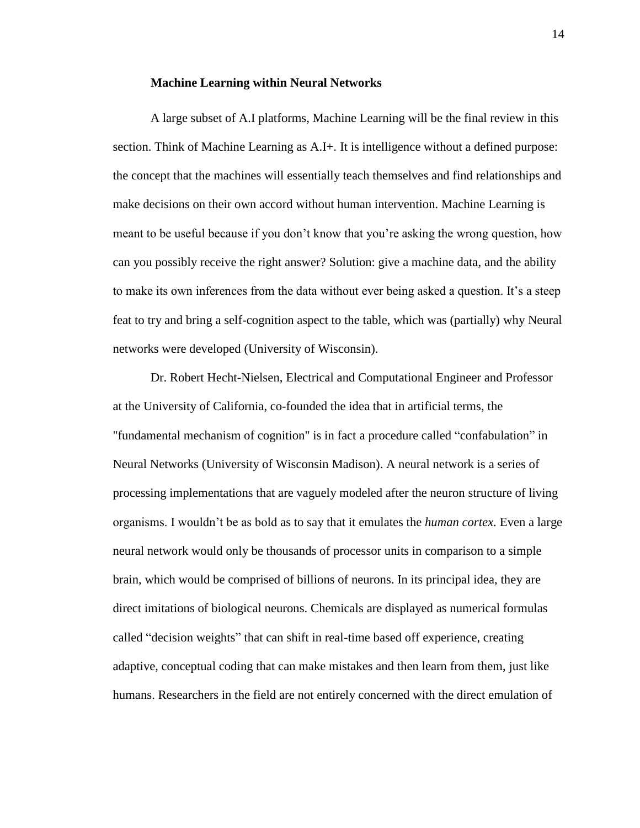#### **Machine Learning within Neural Networks**

<span id="page-15-0"></span>A large subset of A.I platforms, Machine Learning will be the final review in this section. Think of Machine Learning as A.I+*.* It is intelligence without a defined purpose: the concept that the machines will essentially teach themselves and find relationships and make decisions on their own accord without human intervention. Machine Learning is meant to be useful because if you don't know that you're asking the wrong question, how can you possibly receive the right answer? Solution: give a machine data, and the ability to make its own inferences from the data without ever being asked a question. It's a steep feat to try and bring a self-cognition aspect to the table, which was (partially) why Neural networks were developed (University of Wisconsin).

Dr. Robert Hecht-Nielsen, Electrical and Computational Engineer and Professor at the University of California, co-founded the idea that in artificial terms, the "fundamental mechanism of cognition" is in fact a procedure called "confabulation" in Neural Networks (University of Wisconsin Madison). A neural network is a series of processing implementations that are vaguely modeled after the neuron structure of living organisms. I wouldn't be as bold as to say that it emulates the *human cortex.* Even a large neural network would only be thousands of processor units in comparison to a simple brain, which would be comprised of billions of neurons. In its principal idea, they are direct imitations of biological neurons. Chemicals are displayed as numerical formulas called "decision weights" that can shift in real-time based off experience, creating adaptive, conceptual coding that can make mistakes and then learn from them, just like humans. Researchers in the field are not entirely concerned with the direct emulation of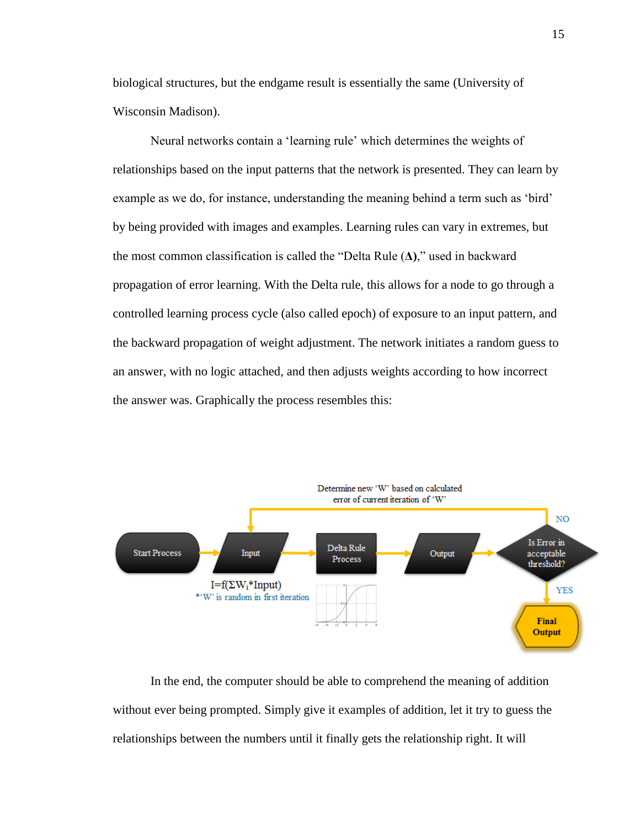biological structures, but the endgame result is essentially the same (University of Wisconsin Madison).

Neural networks contain a 'learning rule' which determines the weights of relationships based on the input patterns that the network is presented. They can learn by example as we do, for instance, understanding the meaning behind a term such as 'bird' by being provided with images and examples. Learning rules can vary in extremes, but the most common classification is called the "Delta Rule (**Δ)**," used in backward propagation of error learning. With the Delta rule, this allows for a node to go through a controlled learning process cycle (also called epoch) of exposure to an input pattern, and the backward propagation of weight adjustment. The network initiates a random guess to an answer, with no logic attached, and then adjusts weights according to how incorrect the answer was. Graphically the process resembles this:



In the end, the computer should be able to comprehend the meaning of addition without ever being prompted. Simply give it examples of addition, let it try to guess the relationships between the numbers until it finally gets the relationship right. It will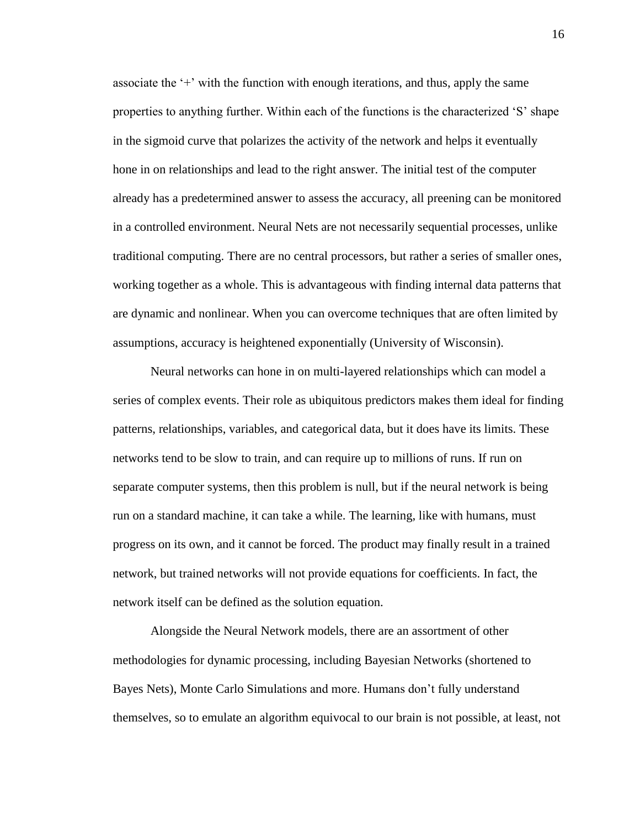associate the '+' with the function with enough iterations, and thus, apply the same properties to anything further. Within each of the functions is the characterized 'S' shape in the sigmoid curve that polarizes the activity of the network and helps it eventually hone in on relationships and lead to the right answer. The initial test of the computer already has a predetermined answer to assess the accuracy, all preening can be monitored in a controlled environment. Neural Nets are not necessarily sequential processes, unlike traditional computing. There are no central processors, but rather a series of smaller ones, working together as a whole. This is advantageous with finding internal data patterns that are dynamic and nonlinear. When you can overcome techniques that are often limited by assumptions, accuracy is heightened exponentially (University of Wisconsin).

Neural networks can hone in on multi-layered relationships which can model a series of complex events. Their role as ubiquitous predictors makes them ideal for finding patterns, relationships, variables, and categorical data, but it does have its limits. These networks tend to be slow to train, and can require up to millions of runs. If run on separate computer systems, then this problem is null, but if the neural network is being run on a standard machine, it can take a while. The learning, like with humans, must progress on its own, and it cannot be forced. The product may finally result in a trained network, but trained networks will not provide equations for coefficients. In fact, the network itself can be defined as the solution equation.

Alongside the Neural Network models, there are an assortment of other methodologies for dynamic processing, including Bayesian Networks (shortened to Bayes Nets), Monte Carlo Simulations and more. Humans don't fully understand themselves, so to emulate an algorithm equivocal to our brain is not possible, at least, not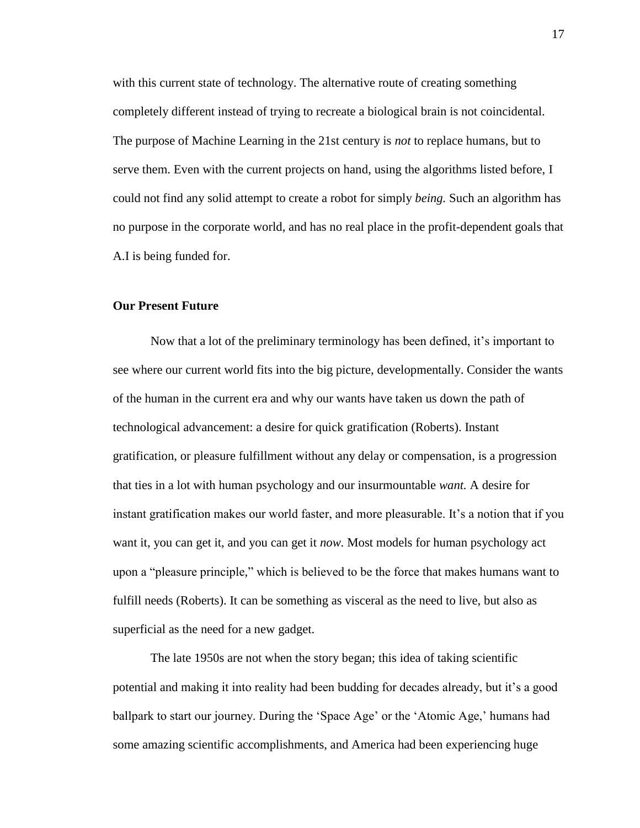with this current state of technology. The alternative route of creating something completely different instead of trying to recreate a biological brain is not coincidental. The purpose of Machine Learning in the 21st century is *not* to replace humans, but to serve them. Even with the current projects on hand, using the algorithms listed before, I could not find any solid attempt to create a robot for simply *being.* Such an algorithm has no purpose in the corporate world, and has no real place in the profit-dependent goals that A.I is being funded for.

## <span id="page-18-0"></span>**Our Present Future**

Now that a lot of the preliminary terminology has been defined, it's important to see where our current world fits into the big picture, developmentally. Consider the wants of the human in the current era and why our wants have taken us down the path of technological advancement: a desire for quick gratification (Roberts). Instant gratification, or pleasure fulfillment without any delay or compensation, is a progression that ties in a lot with human psychology and our insurmountable *want.* A desire for instant gratification makes our world faster, and more pleasurable. It's a notion that if you want it, you can get it, and you can get it *now.* Most models for human psychology act upon a "pleasure principle," which is believed to be the force that makes humans want to fulfill needs (Roberts). It can be something as visceral as the need to live, but also as superficial as the need for a new gadget.

The late 1950s are not when the story began; this idea of taking scientific potential and making it into reality had been budding for decades already, but it's a good ballpark to start our journey. During the 'Space Age' or the 'Atomic Age,' humans had some amazing scientific accomplishments, and America had been experiencing huge

17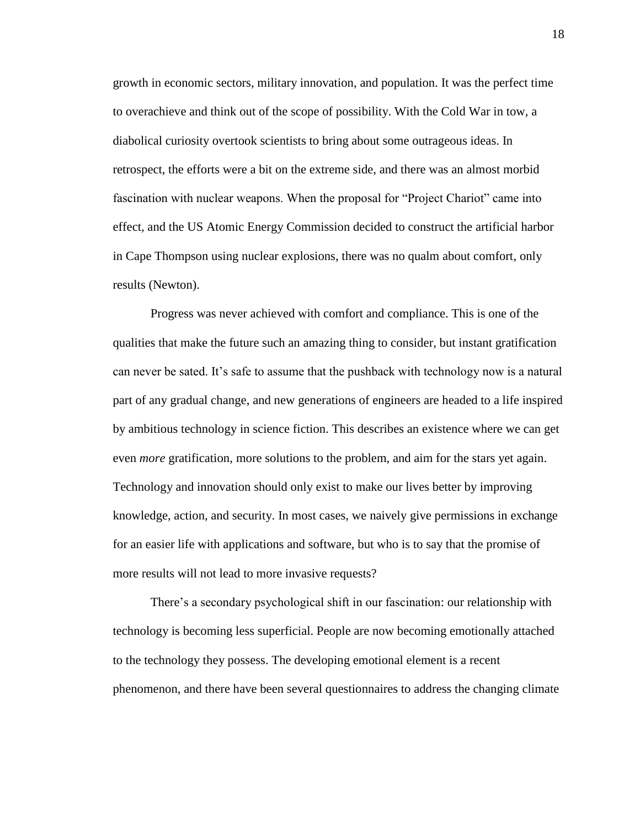growth in economic sectors, military innovation, and population. It was the perfect time to overachieve and think out of the scope of possibility. With the Cold War in tow, a diabolical curiosity overtook scientists to bring about some outrageous ideas. In retrospect, the efforts were a bit on the extreme side, and there was an almost morbid fascination with nuclear weapons. When the proposal for "Project Chariot" came into effect, and the US Atomic Energy Commission decided to construct the artificial harbor in Cape Thompson using nuclear explosions, there was no qualm about comfort, only results (Newton).

Progress was never achieved with comfort and compliance. This is one of the qualities that make the future such an amazing thing to consider, but instant gratification can never be sated. It's safe to assume that the pushback with technology now is a natural part of any gradual change, and new generations of engineers are headed to a life inspired by ambitious technology in science fiction. This describes an existence where we can get even *more* gratification, more solutions to the problem, and aim for the stars yet again. Technology and innovation should only exist to make our lives better by improving knowledge, action, and security. In most cases, we naively give permissions in exchange for an easier life with applications and software, but who is to say that the promise of more results will not lead to more invasive requests?

There's a secondary psychological shift in our fascination: our relationship with technology is becoming less superficial. People are now becoming emotionally attached to the technology they possess. The developing emotional element is a recent phenomenon, and there have been several questionnaires to address the changing climate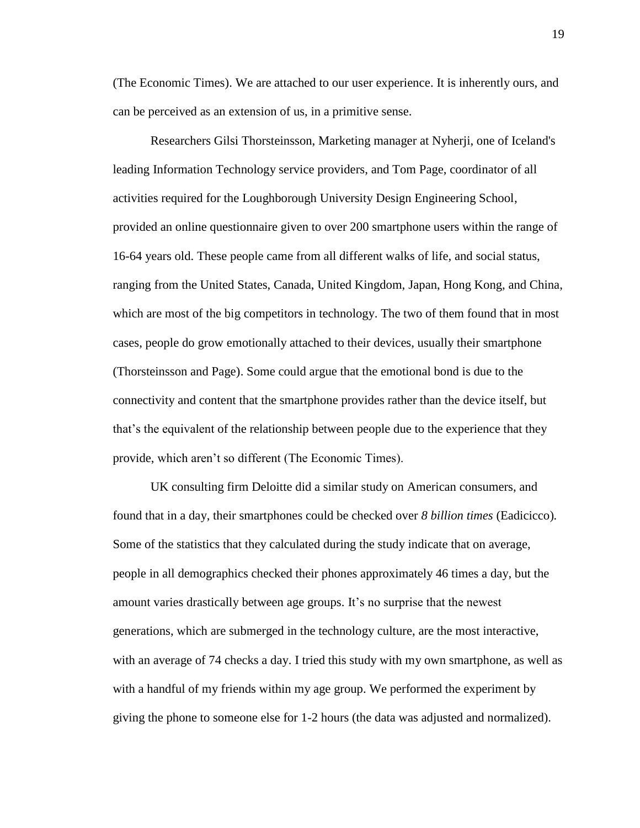(The Economic Times). We are attached to our user experience. It is inherently ours, and can be perceived as an extension of us, in a primitive sense.

Researchers Gilsi Thorsteinsson, Marketing manager at Nyherji, one of Iceland's leading Information Technology service providers, and Tom Page, coordinator of all activities required for the Loughborough University Design Engineering School, provided an online questionnaire given to over 200 smartphone users within the range of 16-64 years old. These people came from all different walks of life, and social status, ranging from the United States, Canada, United Kingdom, Japan, Hong Kong, and China, which are most of the big competitors in technology. The two of them found that in most cases, people do grow emotionally attached to their devices, usually their smartphone (Thorsteinsson and Page). Some could argue that the emotional bond is due to the connectivity and content that the smartphone provides rather than the device itself, but that's the equivalent of the relationship between people due to the experience that they provide, which aren't so different (The Economic Times).

UK consulting firm Deloitte did a similar study on American consumers, and found that in a day, their smartphones could be checked over *8 billion times* (Eadicicco)*.*  Some of the statistics that they calculated during the study indicate that on average, people in all demographics checked their phones approximately 46 times a day, but the amount varies drastically between age groups. It's no surprise that the newest generations, which are submerged in the technology culture, are the most interactive, with an average of 74 checks a day. I tried this study with my own smartphone, as well as with a handful of my friends within my age group. We performed the experiment by giving the phone to someone else for 1-2 hours (the data was adjusted and normalized).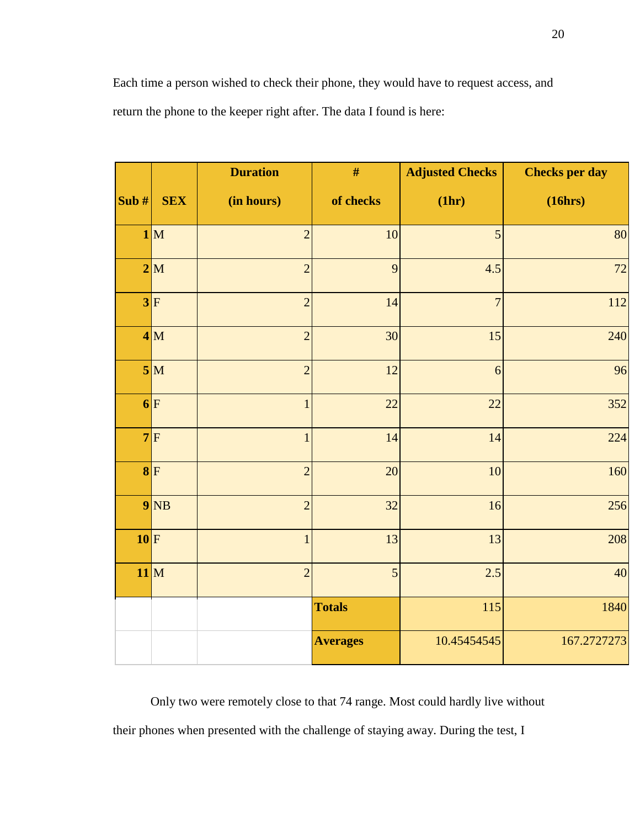Each time a person wished to check their phone, they would have to request access, and return the phone to the keeper right after. The data I found is here:

|         |            | <b>Duration</b> | $\#$            | <b>Adjusted Checks</b> | <b>Checks per day</b> |
|---------|------------|-----------------|-----------------|------------------------|-----------------------|
| Sub $#$ | <b>SEX</b> | (in hours)      | of checks       | (1hr)                  | (16hrs)               |
|         | 1 M        | $\overline{2}$  | 10              | 5                      | 80                    |
|         | 2 M        | $\overline{2}$  | 9               | 4.5                    | 72                    |
|         | 3 F        | $\overline{2}$  | 14              | $\overline{7}$         | 112                   |
|         | 4 M        | $\overline{2}$  | 30              | 15                     | 240                   |
|         | 5 M        | $\overline{2}$  | 12              | $\boldsymbol{6}$       | 96                    |
|         | 6 F        | $\mathbf{1}$    | 22              | 22                     | 352                   |
|         | $7$ F      | $\mathbf{1}$    | 14              | 14                     | 224                   |
|         | $8$ F      | $\overline{2}$  | 20              | 10                     | 160                   |
|         | $9$ NB     | $\overline{2}$  | 32              | 16                     | 256                   |
| $10$ F  |            | $\mathbf{1}$    | 13              | 13                     | 208                   |
|         | $11$ M     | $\overline{2}$  | 5               | 2.5                    | 40                    |
|         |            |                 | <b>Totals</b>   | 115                    | 1840                  |
|         |            |                 | <b>Averages</b> | 10.45454545            | 167.2727273           |

Only two were remotely close to that 74 range. Most could hardly live without their phones when presented with the challenge of staying away. During the test, I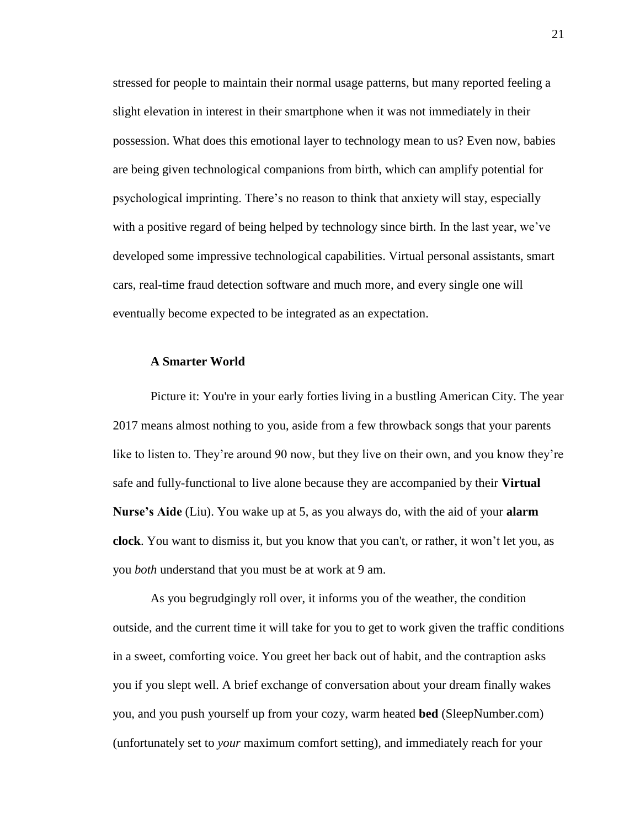stressed for people to maintain their normal usage patterns, but many reported feeling a slight elevation in interest in their smartphone when it was not immediately in their possession. What does this emotional layer to technology mean to us? Even now, babies are being given technological companions from birth, which can amplify potential for psychological imprinting. There's no reason to think that anxiety will stay, especially with a positive regard of being helped by technology since birth. In the last year, we've developed some impressive technological capabilities. Virtual personal assistants, smart cars, real-time fraud detection software and much more, and every single one will eventually become expected to be integrated as an expectation.

## <span id="page-22-0"></span>**A Smarter World**

Picture it: You're in your early forties living in a bustling American City. The year 2017 means almost nothing to you, aside from a few throwback songs that your parents like to listen to. They're around 90 now, but they live on their own, and you know they're safe and fully-functional to live alone because they are accompanied by their **Virtual Nurse's Aide** (Liu). You wake up at 5, as you always do, with the aid of your **alarm clock**. You want to dismiss it, but you know that you can't, or rather, it won't let you, as you *both* understand that you must be at work at 9 am.

As you begrudgingly roll over, it informs you of the weather, the condition outside, and the current time it will take for you to get to work given the traffic conditions in a sweet, comforting voice. You greet her back out of habit, and the contraption asks you if you slept well. A brief exchange of conversation about your dream finally wakes you, and you push yourself up from your cozy, warm heated **bed** (SleepNumber.com) (unfortunately set to *your* maximum comfort setting), and immediately reach for your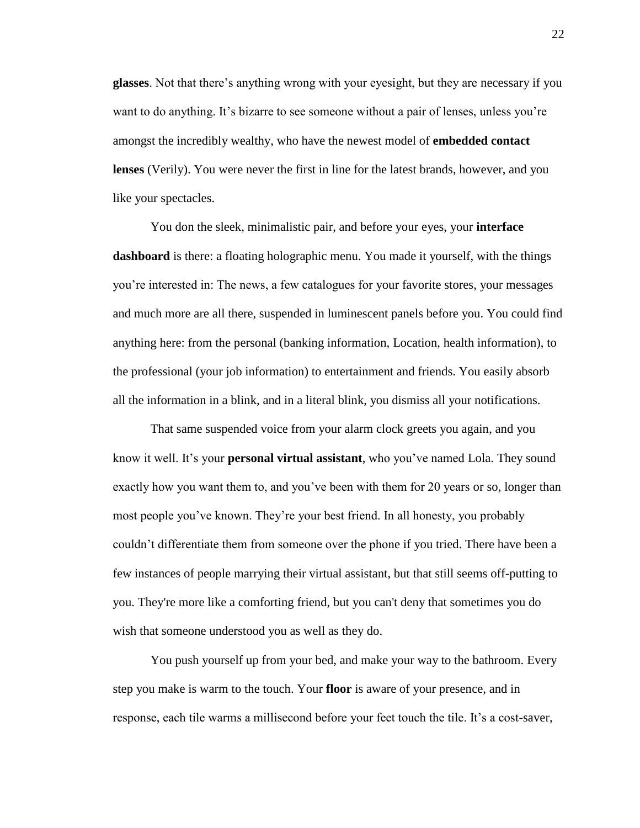**glasses**. Not that there's anything wrong with your eyesight, but they are necessary if you want to do anything. It's bizarre to see someone without a pair of lenses, unless you're amongst the incredibly wealthy, who have the newest model of **embedded contact lenses** (Verily). You were never the first in line for the latest brands, however, and you like your spectacles.

You don the sleek, minimalistic pair, and before your eyes, your **interface dashboard** is there: a floating holographic menu. You made it yourself, with the things you're interested in: The news, a few catalogues for your favorite stores, your messages and much more are all there, suspended in luminescent panels before you. You could find anything here: from the personal (banking information, Location, health information), to the professional (your job information) to entertainment and friends. You easily absorb all the information in a blink, and in a literal blink, you dismiss all your notifications.

That same suspended voice from your alarm clock greets you again, and you know it well. It's your **personal virtual assistant**, who you've named Lola. They sound exactly how you want them to, and you've been with them for 20 years or so, longer than most people you've known. They're your best friend. In all honesty, you probably couldn't differentiate them from someone over the phone if you tried. There have been a few instances of people marrying their virtual assistant, but that still seems off-putting to you. They're more like a comforting friend, but you can't deny that sometimes you do wish that someone understood you as well as they do.

You push yourself up from your bed, and make your way to the bathroom. Every step you make is warm to the touch. Your **floor** is aware of your presence, and in response, each tile warms a millisecond before your feet touch the tile. It's a cost-saver,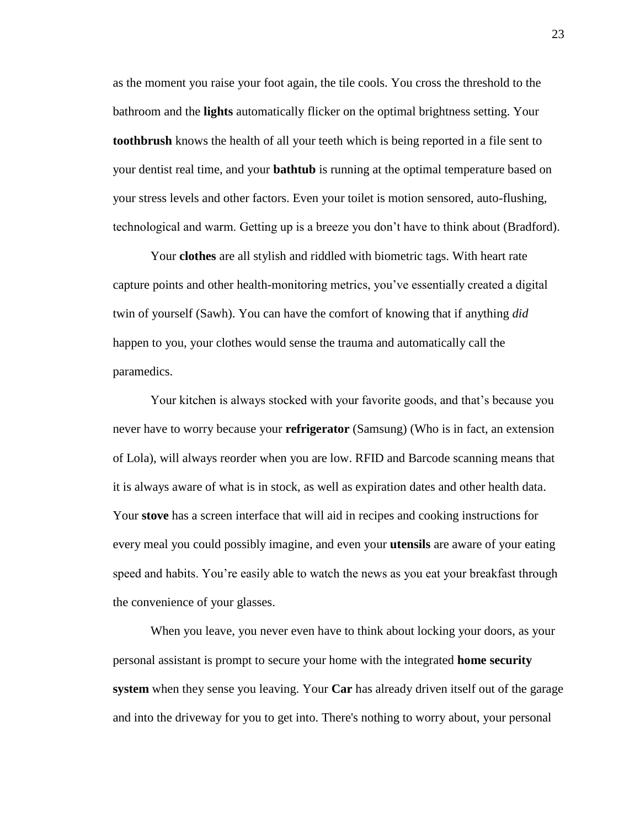as the moment you raise your foot again, the tile cools. You cross the threshold to the bathroom and the **lights** automatically flicker on the optimal brightness setting. Your **toothbrush** knows the health of all your teeth which is being reported in a file sent to your dentist real time, and your **bathtub** is running at the optimal temperature based on your stress levels and other factors. Even your toilet is motion sensored, auto-flushing, technological and warm. Getting up is a breeze you don't have to think about (Bradford).

Your **clothes** are all stylish and riddled with biometric tags. With heart rate capture points and other health-monitoring metrics, you've essentially created a digital twin of yourself (Sawh). You can have the comfort of knowing that if anything *did*  happen to you, your clothes would sense the trauma and automatically call the paramedics.

Your kitchen is always stocked with your favorite goods, and that's because you never have to worry because your **refrigerator** (Samsung) (Who is in fact, an extension of Lola), will always reorder when you are low. RFID and Barcode scanning means that it is always aware of what is in stock, as well as expiration dates and other health data. Your **stove** has a screen interface that will aid in recipes and cooking instructions for every meal you could possibly imagine, and even your **utensils** are aware of your eating speed and habits. You're easily able to watch the news as you eat your breakfast through the convenience of your glasses.

When you leave, you never even have to think about locking your doors, as your personal assistant is prompt to secure your home with the integrated **home security system** when they sense you leaving. Your **Car** has already driven itself out of the garage and into the driveway for you to get into. There's nothing to worry about, your personal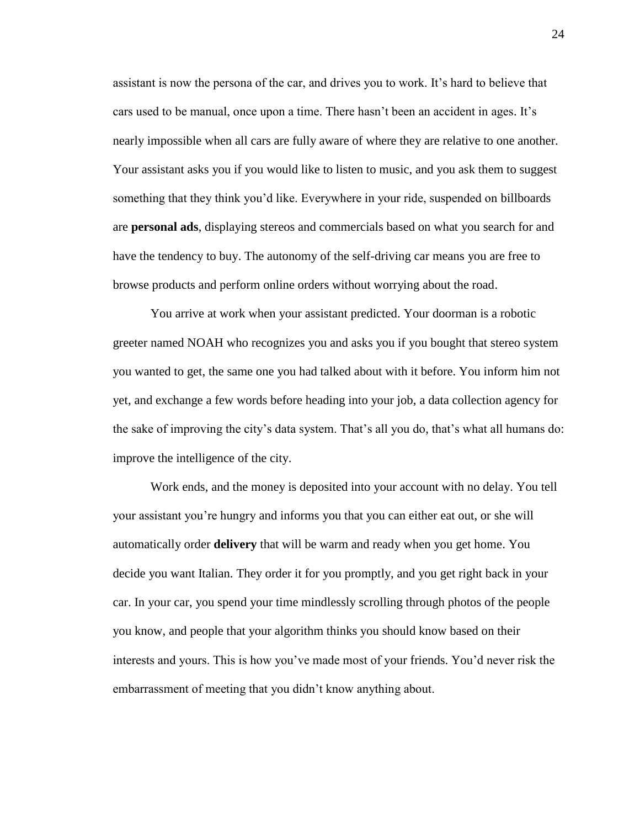assistant is now the persona of the car, and drives you to work. It's hard to believe that cars used to be manual, once upon a time. There hasn't been an accident in ages. It's nearly impossible when all cars are fully aware of where they are relative to one another. Your assistant asks you if you would like to listen to music, and you ask them to suggest something that they think you'd like. Everywhere in your ride, suspended on billboards are **personal ads**, displaying stereos and commercials based on what you search for and have the tendency to buy. The autonomy of the self-driving car means you are free to browse products and perform online orders without worrying about the road.

You arrive at work when your assistant predicted. Your doorman is a robotic greeter named NOAH who recognizes you and asks you if you bought that stereo system you wanted to get, the same one you had talked about with it before. You inform him not yet, and exchange a few words before heading into your job, a data collection agency for the sake of improving the city's data system. That's all you do, that's what all humans do: improve the intelligence of the city.

Work ends, and the money is deposited into your account with no delay. You tell your assistant you're hungry and informs you that you can either eat out, or she will automatically order **delivery** that will be warm and ready when you get home. You decide you want Italian. They order it for you promptly, and you get right back in your car. In your car, you spend your time mindlessly scrolling through photos of the people you know, and people that your algorithm thinks you should know based on their interests and yours. This is how you've made most of your friends. You'd never risk the embarrassment of meeting that you didn't know anything about.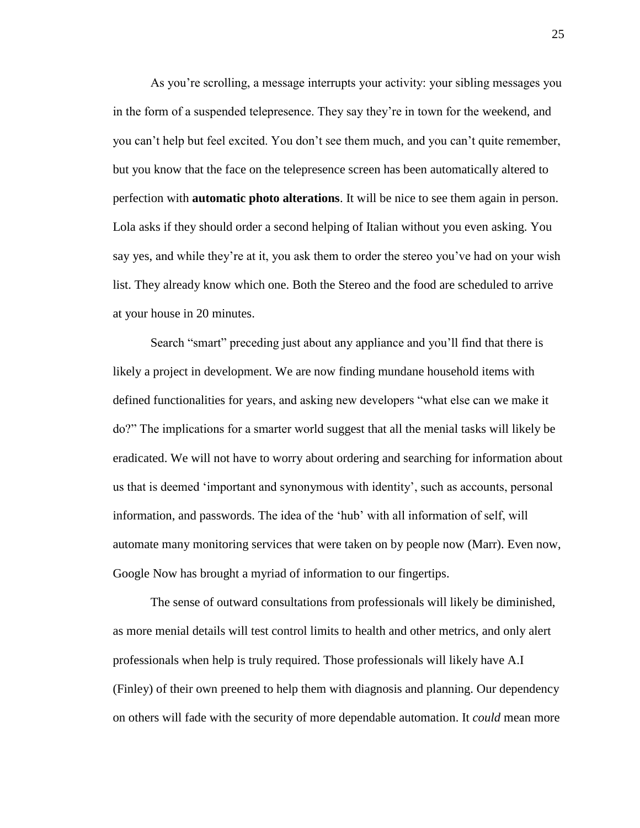As you're scrolling, a message interrupts your activity: your sibling messages you in the form of a suspended telepresence. They say they're in town for the weekend, and you can't help but feel excited. You don't see them much, and you can't quite remember, but you know that the face on the telepresence screen has been automatically altered to perfection with **automatic photo alterations**. It will be nice to see them again in person. Lola asks if they should order a second helping of Italian without you even asking. You say yes, and while they're at it, you ask them to order the stereo you've had on your wish list. They already know which one. Both the Stereo and the food are scheduled to arrive at your house in 20 minutes.

Search "smart" preceding just about any appliance and you'll find that there is likely a project in development. We are now finding mundane household items with defined functionalities for years, and asking new developers "what else can we make it do?" The implications for a smarter world suggest that all the menial tasks will likely be eradicated. We will not have to worry about ordering and searching for information about us that is deemed 'important and synonymous with identity', such as accounts, personal information, and passwords. The idea of the 'hub' with all information of self, will automate many monitoring services that were taken on by people now (Marr). Even now, Google Now has brought a myriad of information to our fingertips.

The sense of outward consultations from professionals will likely be diminished, as more menial details will test control limits to health and other metrics, and only alert professionals when help is truly required. Those professionals will likely have A.I (Finley) of their own preened to help them with diagnosis and planning. Our dependency on others will fade with the security of more dependable automation. It *could* mean more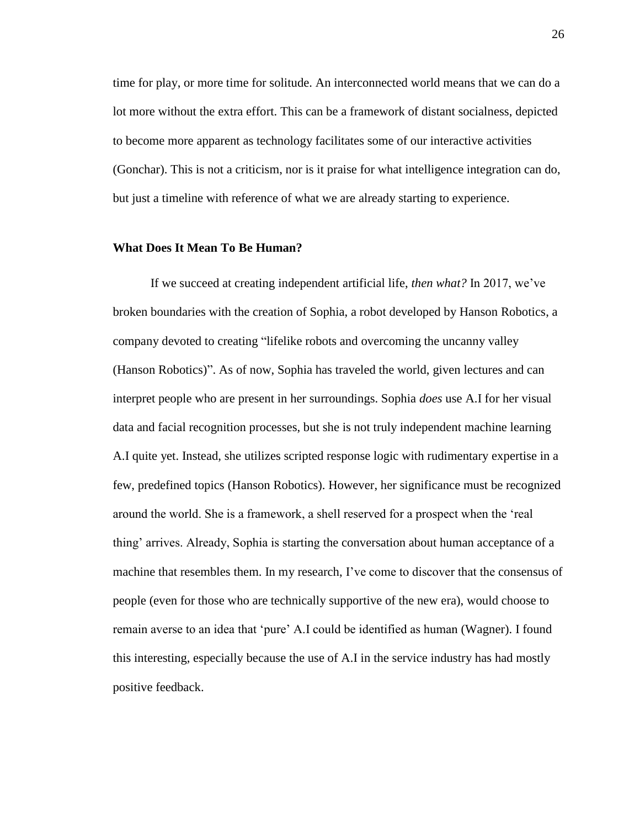time for play, or more time for solitude. An interconnected world means that we can do a lot more without the extra effort. This can be a framework of distant socialness, depicted to become more apparent as technology facilitates some of our interactive activities (Gonchar). This is not a criticism, nor is it praise for what intelligence integration can do, but just a timeline with reference of what we are already starting to experience.

## <span id="page-27-0"></span>**What Does It Mean To Be Human?**

If we succeed at creating independent artificial life, *then what?* In 2017, we've broken boundaries with the creation of Sophia, a robot developed by Hanson Robotics, a company devoted to creating "lifelike robots and overcoming the uncanny valley (Hanson Robotics)". As of now, Sophia has traveled the world, given lectures and can interpret people who are present in her surroundings. Sophia *does* use A.I for her visual data and facial recognition processes, but she is not truly independent machine learning A.I quite yet. Instead, she utilizes scripted response logic with rudimentary expertise in a few, predefined topics (Hanson Robotics). However, her significance must be recognized around the world. She is a framework, a shell reserved for a prospect when the 'real thing' arrives. Already, Sophia is starting the conversation about human acceptance of a machine that resembles them. In my research, I've come to discover that the consensus of people (even for those who are technically supportive of the new era), would choose to remain averse to an idea that 'pure' A.I could be identified as human (Wagner). I found this interesting, especially because the use of A.I in the service industry has had mostly positive feedback.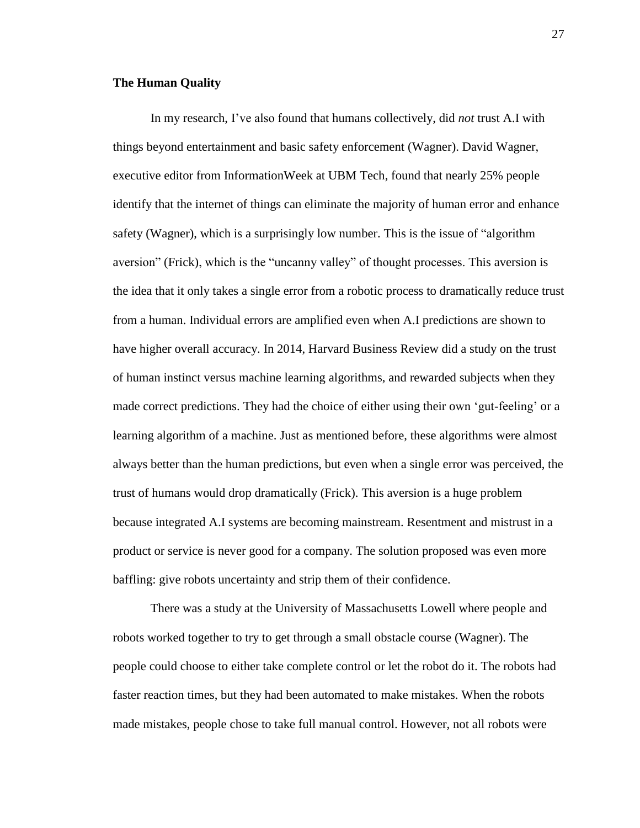## <span id="page-28-0"></span>**The Human Quality**

In my research, I've also found that humans collectively, did *not* trust A.I with things beyond entertainment and basic safety enforcement (Wagner). David Wagner, executive editor from InformationWeek at UBM Tech, found that nearly 25% people identify that the internet of things can eliminate the majority of human error and enhance safety (Wagner), which is a surprisingly low number. This is the issue of "algorithm aversion" (Frick), which is the "uncanny valley" of thought processes. This aversion is the idea that it only takes a single error from a robotic process to dramatically reduce trust from a human. Individual errors are amplified even when A.I predictions are shown to have higher overall accuracy. In 2014, Harvard Business Review did a study on the trust of human instinct versus machine learning algorithms, and rewarded subjects when they made correct predictions. They had the choice of either using their own 'gut-feeling' or a learning algorithm of a machine. Just as mentioned before, these algorithms were almost always better than the human predictions, but even when a single error was perceived, the trust of humans would drop dramatically (Frick). This aversion is a huge problem because integrated A.I systems are becoming mainstream. Resentment and mistrust in a product or service is never good for a company. The solution proposed was even more baffling: give robots uncertainty and strip them of their confidence.

There was a study at the University of Massachusetts Lowell where people and robots worked together to try to get through a small obstacle course (Wagner). The people could choose to either take complete control or let the robot do it. The robots had faster reaction times, but they had been automated to make mistakes. When the robots made mistakes, people chose to take full manual control. However, not all robots were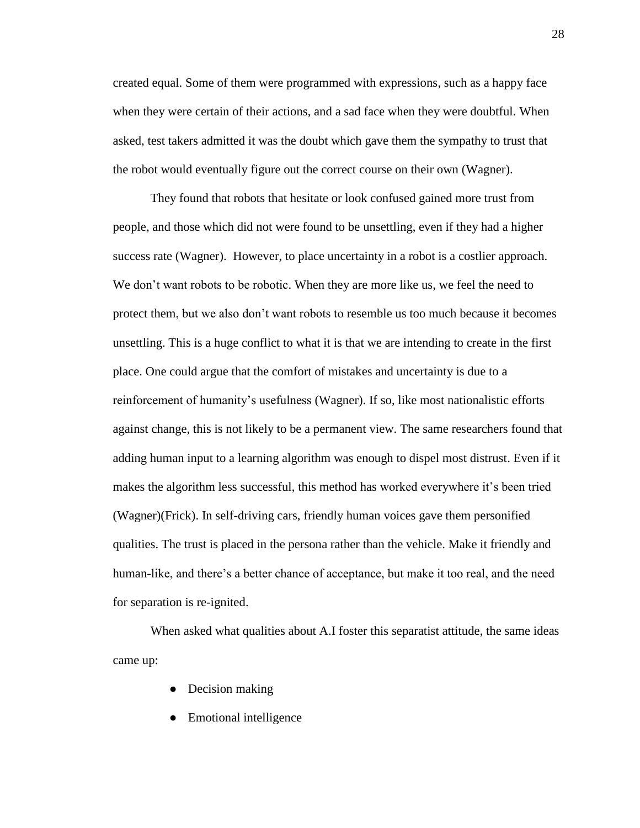created equal. Some of them were programmed with expressions, such as a happy face when they were certain of their actions, and a sad face when they were doubtful. When asked, test takers admitted it was the doubt which gave them the sympathy to trust that the robot would eventually figure out the correct course on their own (Wagner).

They found that robots that hesitate or look confused gained more trust from people, and those which did not were found to be unsettling, even if they had a higher success rate (Wagner). However, to place uncertainty in a robot is a costlier approach. We don't want robots to be robotic. When they are more like us, we feel the need to protect them, but we also don't want robots to resemble us too much because it becomes unsettling. This is a huge conflict to what it is that we are intending to create in the first place. One could argue that the comfort of mistakes and uncertainty is due to a reinforcement of humanity's usefulness (Wagner). If so, like most nationalistic efforts against change, this is not likely to be a permanent view. The same researchers found that adding human input to a learning algorithm was enough to dispel most distrust. Even if it makes the algorithm less successful, this method has worked everywhere it's been tried (Wagner)(Frick). In self-driving cars, friendly human voices gave them personified qualities. The trust is placed in the persona rather than the vehicle. Make it friendly and human-like, and there's a better chance of acceptance, but make it too real, and the need for separation is re-ignited.

When asked what qualities about A.I foster this separatist attitude, the same ideas came up:

- Decision making
- Emotional intelligence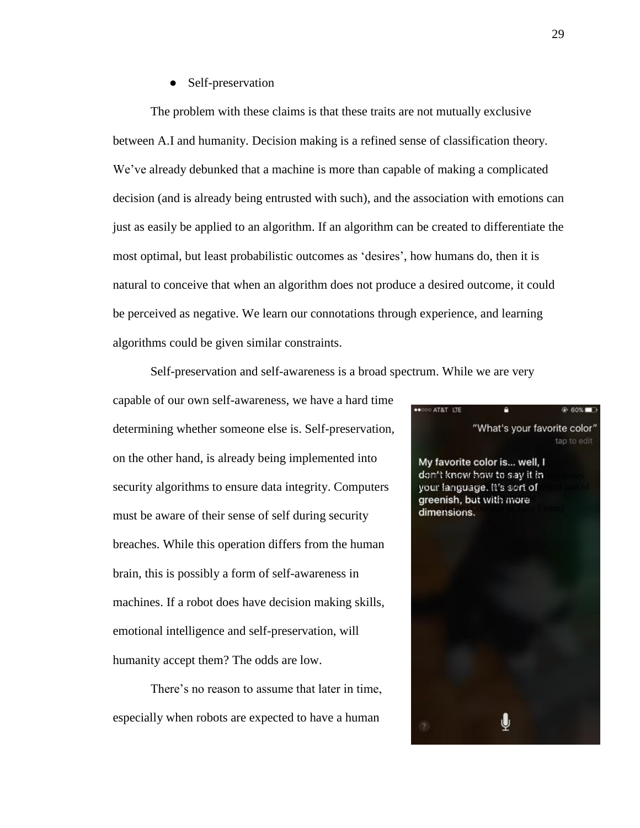• Self-preservation

The problem with these claims is that these traits are not mutually exclusive between A.I and humanity. Decision making is a refined sense of classification theory. We've already debunked that a machine is more than capable of making a complicated decision (and is already being entrusted with such), and the association with emotions can just as easily be applied to an algorithm. If an algorithm can be created to differentiate the most optimal, but least probabilistic outcomes as 'desires', how humans do, then it is natural to conceive that when an algorithm does not produce a desired outcome, it could be perceived as negative. We learn our connotations through experience, and learning algorithms could be given similar constraints.

Self-preservation and self-awareness is a broad spectrum. While we are very

capable of our own self-awareness, we have a hard time determining whether someone else is. Self-preservation, on the other hand, is already being implemented into security algorithms to ensure data integrity. Computers must be aware of their sense of self during security breaches. While this operation differs from the human brain, this is possibly a form of self-awareness in machines. If a robot does have decision making skills, emotional intelligence and self-preservation, will humanity accept them? The odds are low.

There's no reason to assume that later in time, especially when robots are expected to have a human

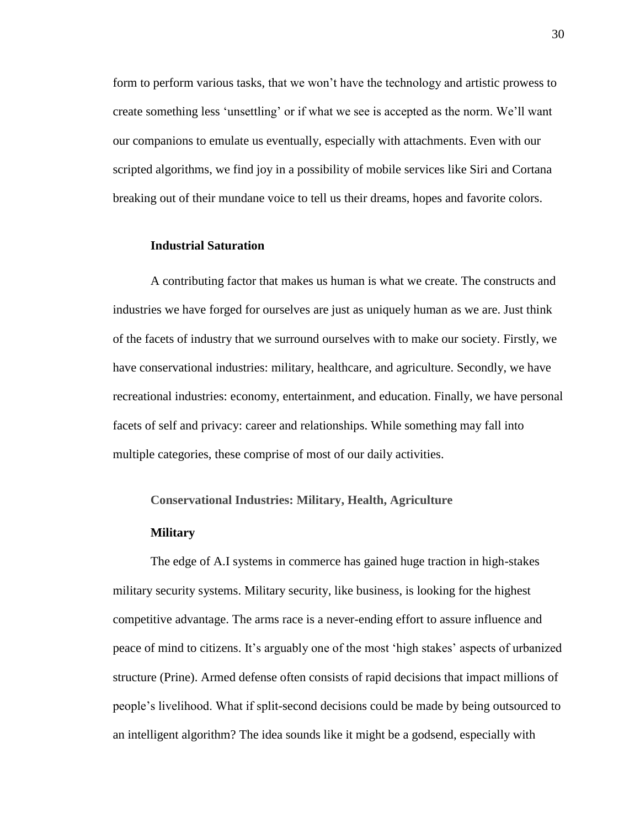form to perform various tasks, that we won't have the technology and artistic prowess to create something less 'unsettling' or if what we see is accepted as the norm. We'll want our companions to emulate us eventually, especially with attachments. Even with our scripted algorithms, we find joy in a possibility of mobile services like Siri and Cortana breaking out of their mundane voice to tell us their dreams, hopes and favorite colors.

#### <span id="page-31-0"></span>**Industrial Saturation**

A contributing factor that makes us human is what we create. The constructs and industries we have forged for ourselves are just as uniquely human as we are. Just think of the facets of industry that we surround ourselves with to make our society. Firstly, we have conservational industries: military, healthcare, and agriculture. Secondly, we have recreational industries: economy, entertainment, and education. Finally, we have personal facets of self and privacy: career and relationships. While something may fall into multiple categories, these comprise of most of our daily activities.

## <span id="page-31-1"></span>**Conservational Industries: Military, Health, Agriculture**

#### **Military**

The edge of A.I systems in commerce has gained huge traction in high-stakes military security systems. Military security, like business, is looking for the highest competitive advantage. The arms race is a never-ending effort to assure influence and peace of mind to citizens. It's arguably one of the most 'high stakes' aspects of urbanized structure (Prine). Armed defense often consists of rapid decisions that impact millions of people's livelihood. What if split-second decisions could be made by being outsourced to an intelligent algorithm? The idea sounds like it might be a godsend, especially with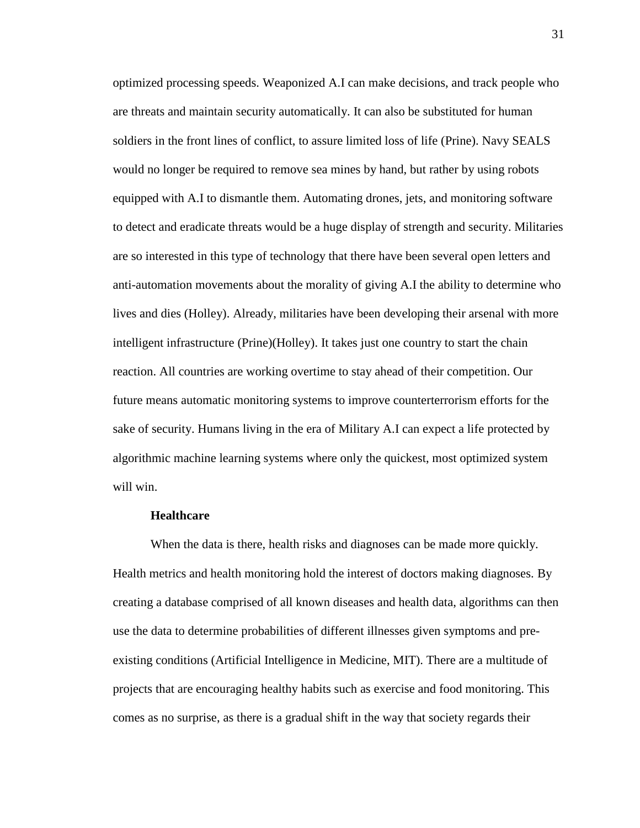optimized processing speeds. Weaponized A.I can make decisions, and track people who are threats and maintain security automatically. It can also be substituted for human soldiers in the front lines of conflict, to assure limited loss of life (Prine). Navy SEALS would no longer be required to remove sea mines by hand, but rather by using robots equipped with A.I to dismantle them. Automating drones, jets, and monitoring software to detect and eradicate threats would be a huge display of strength and security. Militaries are so interested in this type of technology that there have been several open letters and anti-automation movements about the morality of giving A.I the ability to determine who lives and dies (Holley). Already, militaries have been developing their arsenal with more intelligent infrastructure (Prine)(Holley). It takes just one country to start the chain reaction. All countries are working overtime to stay ahead of their competition. Our future means automatic monitoring systems to improve counterterrorism efforts for the sake of security. Humans living in the era of Military A.I can expect a life protected by algorithmic machine learning systems where only the quickest, most optimized system will win.

## **Healthcare**

When the data is there, health risks and diagnoses can be made more quickly. Health metrics and health monitoring hold the interest of doctors making diagnoses. By creating a database comprised of all known diseases and health data, algorithms can then use the data to determine probabilities of different illnesses given symptoms and preexisting conditions (Artificial Intelligence in Medicine, MIT). There are a multitude of projects that are encouraging healthy habits such as exercise and food monitoring. This comes as no surprise, as there is a gradual shift in the way that society regards their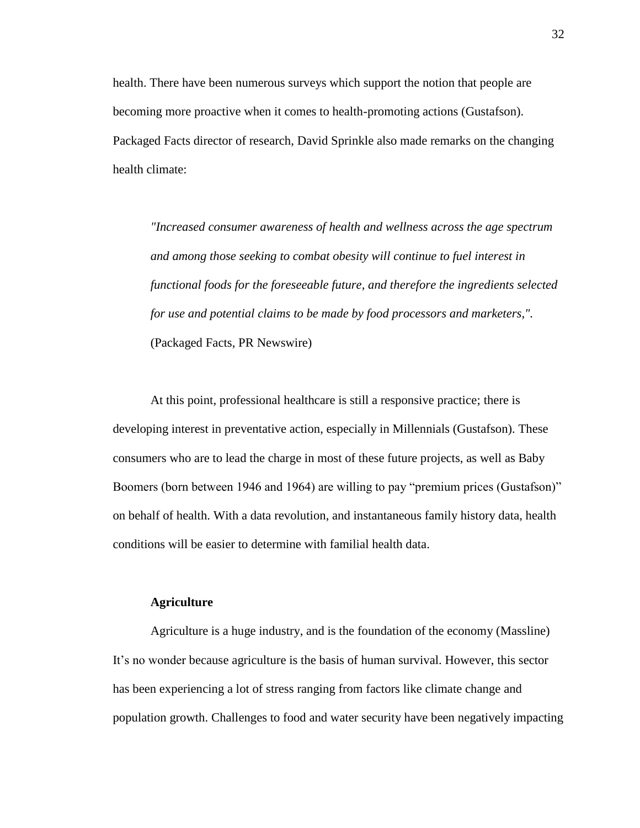health. There have been numerous surveys which support the notion that people are becoming more proactive when it comes to health-promoting actions (Gustafson). Packaged Facts director of research, David Sprinkle also made remarks on the changing health climate:

*"Increased consumer awareness of health and wellness across the age spectrum and among those seeking to combat obesity will continue to fuel interest in functional foods for the foreseeable future, and therefore the ingredients selected for use and potential claims to be made by food processors and marketers,".* (Packaged Facts, PR Newswire)

At this point, professional healthcare is still a responsive practice; there is developing interest in preventative action, especially in Millennials (Gustafson). These consumers who are to lead the charge in most of these future projects, as well as Baby Boomers (born between 1946 and 1964) are willing to pay "premium prices (Gustafson)" on behalf of health. With a data revolution, and instantaneous family history data, health conditions will be easier to determine with familial health data.

## **Agriculture**

Agriculture is a huge industry, and is the foundation of the economy (Massline) It's no wonder because agriculture is the basis of human survival. However, this sector has been experiencing a lot of stress ranging from factors like climate change and population growth. Challenges to food and water security have been negatively impacting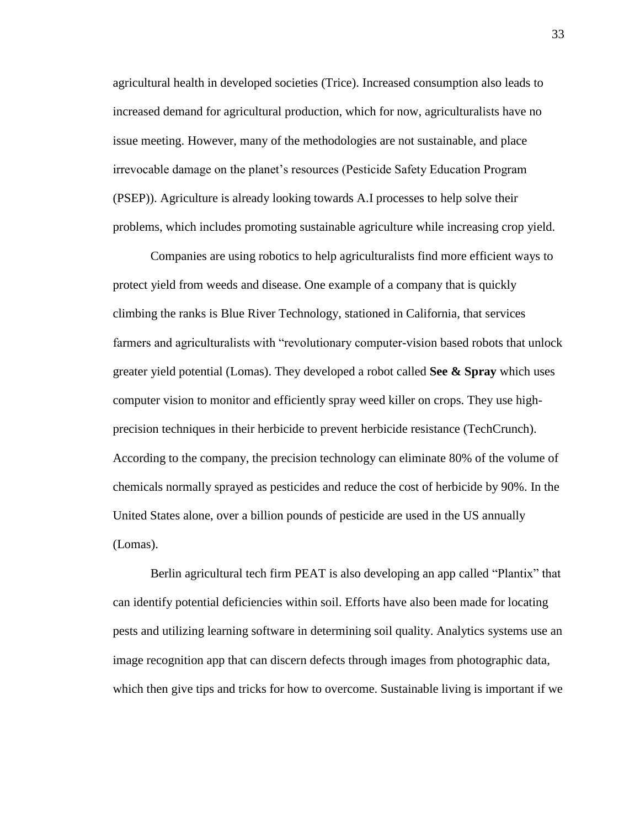agricultural health in developed societies (Trice). Increased consumption also leads to increased demand for agricultural production, which for now, agriculturalists have no issue meeting. However, many of the methodologies are not sustainable, and place irrevocable damage on the planet's resources (Pesticide Safety Education Program (PSEP)). Agriculture is already looking towards A.I processes to help solve their problems, which includes promoting sustainable agriculture while increasing crop yield.

Companies are using robotics to help agriculturalists find more efficient ways to protect yield from weeds and disease. One example of a company that is quickly climbing the ranks is Blue River Technology, stationed in California, that services farmers and agriculturalists with "revolutionary computer-vision based robots that unlock greater yield potential (Lomas). They developed a robot called **See & Spray** which uses computer vision to monitor and efficiently spray weed killer on crops. They use highprecision techniques in their herbicide to prevent herbicide resistance (TechCrunch). According to the company, the precision technology can eliminate 80% of the volume of chemicals normally sprayed as pesticides and reduce the cost of herbicide by 90%. In the United States alone, over a billion pounds of pesticide are used in the US annually (Lomas).

Berlin agricultural tech firm PEAT is also developing an app called "Plantix" that can identify potential deficiencies within soil. Efforts have also been made for locating pests and utilizing learning software in determining soil quality. Analytics systems use an image recognition app that can discern defects through images from photographic data, which then give tips and tricks for how to overcome. Sustainable living is important if we

33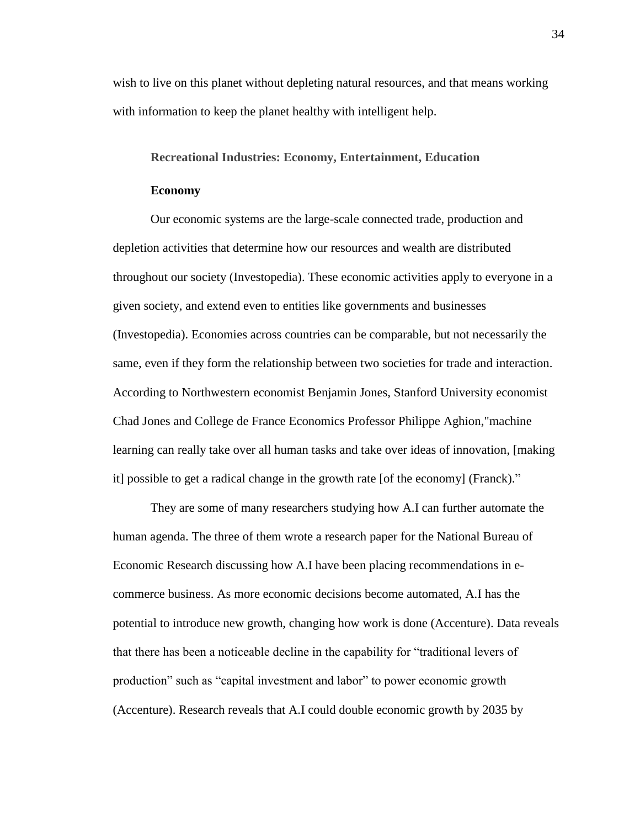wish to live on this planet without depleting natural resources, and that means working with information to keep the planet healthy with intelligent help.

## <span id="page-35-0"></span>**Recreational Industries: Economy, Entertainment, Education**

## **Economy**

Our economic systems are the large-scale connected trade, production and depletion activities that determine how our resources and wealth are distributed throughout our society (Investopedia). These economic activities apply to everyone in a given society, and extend even to entities like governments and businesses (Investopedia). Economies across countries can be comparable, but not necessarily the same, even if they form the relationship between two societies for trade and interaction. According to Northwestern economist Benjamin Jones, Stanford University economist Chad Jones and College de France Economics Professor Philippe Aghion,"machine learning can really take over all human tasks and take over ideas of innovation, [making it] possible to get a radical change in the growth rate [of the economy] (Franck)."

They are some of many researchers studying how A.I can further automate the human agenda. The three of them wrote a research paper for the National Bureau of Economic Research discussing how A.I have been placing recommendations in ecommerce business. As more economic decisions become automated, A.I has the potential to introduce new growth, changing how work is done (Accenture). Data reveals that there has been a noticeable decline in the capability for "traditional levers of production" such as "capital investment and labor" to power economic growth (Accenture). Research reveals that A.I could double economic growth by 2035 by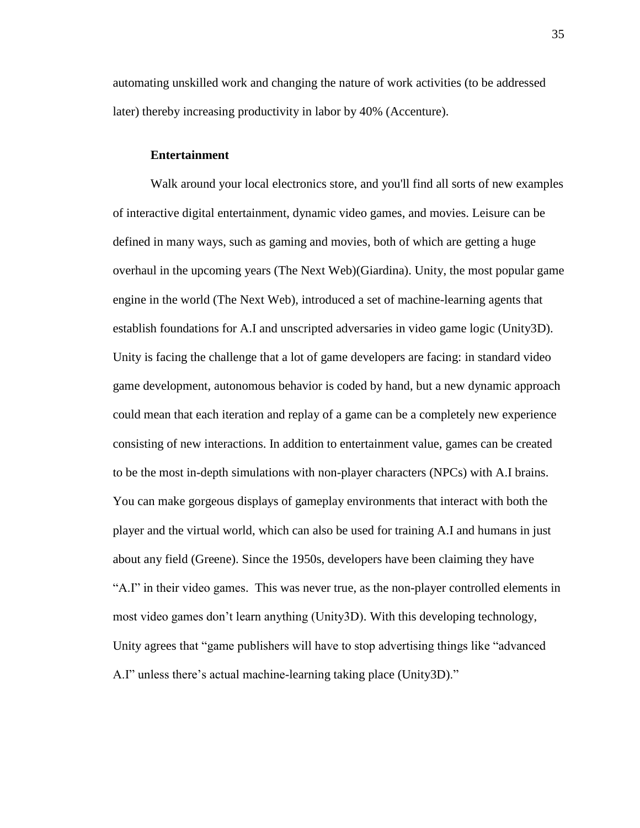automating unskilled work and changing the nature of work activities (to be addressed later) thereby increasing productivity in labor by 40% (Accenture).

## **Entertainment**

Walk around your local electronics store, and you'll find all sorts of new examples of interactive digital entertainment, dynamic video games, and movies. Leisure can be defined in many ways, such as gaming and movies, both of which are getting a huge overhaul in the upcoming years (The Next Web)(Giardina). Unity, the most popular game engine in the world (The Next Web), introduced a set of machine-learning agents that establish foundations for A.I and unscripted adversaries in video game logic (Unity3D). Unity is facing the challenge that a lot of game developers are facing: in standard video game development, autonomous behavior is coded by hand, but a new dynamic approach could mean that each iteration and replay of a game can be a completely new experience consisting of new interactions. In addition to entertainment value, games can be created to be the most in-depth simulations with non-player characters (NPCs) with A.I brains. You can make gorgeous displays of gameplay environments that interact with both the player and the virtual world, which can also be used for training A.I and humans in just about any field (Greene). Since the 1950s, developers have been claiming they have "A.I" in their video games. This was never true, as the non-player controlled elements in most video games don't learn anything (Unity3D). With this developing technology, Unity agrees that "game publishers will have to stop advertising things like "advanced A.I" unless there's actual machine-learning taking place (Unity3D)."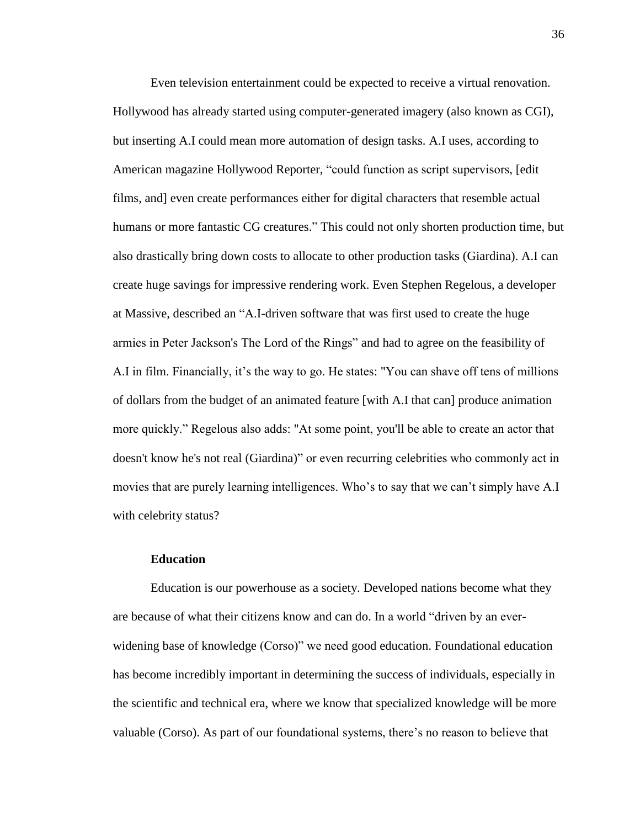Even television entertainment could be expected to receive a virtual renovation. Hollywood has already started using computer-generated imagery (also known as CGI), but inserting A.I could mean more automation of design tasks. A.I uses, according to American magazine Hollywood Reporter, "could function as script supervisors, [edit films, and] even create performances either for digital characters that resemble actual humans or more fantastic CG creatures." This could not only shorten production time, but also drastically bring down costs to allocate to other production tasks (Giardina). A.I can create huge savings for impressive rendering work. Even Stephen Regelous, a developer at Massive, described an "A.I-driven software that was first used to create the huge armies in Peter Jackson's The Lord of the Rings" and had to agree on the feasibility of A.I in film. Financially, it's the way to go. He states: "You can shave off tens of millions of dollars from the budget of an animated feature [with A.I that can] produce animation more quickly." Regelous also adds: "At some point, you'll be able to create an actor that doesn't know he's not real (Giardina)" or even recurring celebrities who commonly act in movies that are purely learning intelligences. Who's to say that we can't simply have A.I with celebrity status?

## **Education**

Education is our powerhouse as a society. Developed nations become what they are because of what their citizens know and can do. In a world "driven by an everwidening base of knowledge (Corso)" we need good education. Foundational education has become incredibly important in determining the success of individuals, especially in the scientific and technical era, where we know that specialized knowledge will be more valuable (Corso). As part of our foundational systems, there's no reason to believe that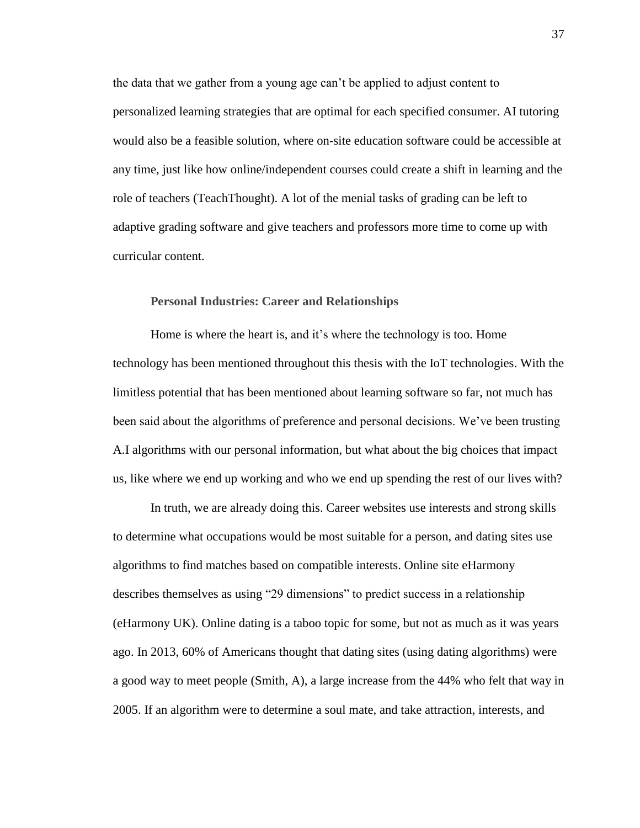the data that we gather from a young age can't be applied to adjust content to personalized learning strategies that are optimal for each specified consumer. AI tutoring would also be a feasible solution, where on-site education software could be accessible at any time, just like how online/independent courses could create a shift in learning and the role of teachers (TeachThought). A lot of the menial tasks of grading can be left to adaptive grading software and give teachers and professors more time to come up with curricular content.

## <span id="page-38-0"></span>**Personal Industries: Career and Relationships**

Home is where the heart is, and it's where the technology is too. Home technology has been mentioned throughout this thesis with the IoT technologies. With the limitless potential that has been mentioned about learning software so far, not much has been said about the algorithms of preference and personal decisions. We've been trusting A.I algorithms with our personal information, but what about the big choices that impact us, like where we end up working and who we end up spending the rest of our lives with?

In truth, we are already doing this. Career websites use interests and strong skills to determine what occupations would be most suitable for a person, and dating sites use algorithms to find matches based on compatible interests. Online site eHarmony describes themselves as using "29 dimensions" to predict success in a relationship (eHarmony UK). Online dating is a taboo topic for some, but not as much as it was years ago. In 2013, 60% of Americans thought that dating sites (using dating algorithms) were a good way to meet people (Smith, A), a large increase from the 44% who felt that way in 2005. If an algorithm were to determine a soul mate, and take attraction, interests, and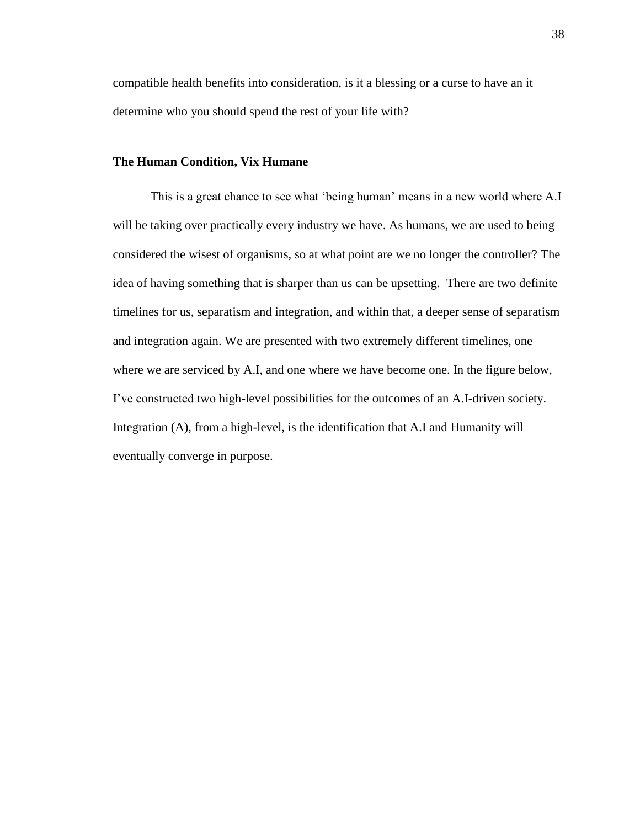compatible health benefits into consideration, is it a blessing or a curse to have an it determine who you should spend the rest of your life with?

## <span id="page-39-0"></span>**The Human Condition, Vix Humane**

This is a great chance to see what 'being human' means in a new world where A.I will be taking over practically every industry we have. As humans, we are used to being considered the wisest of organisms, so at what point are we no longer the controller? The idea of having something that is sharper than us can be upsetting. There are two definite timelines for us, separatism and integration, and within that, a deeper sense of separatism and integration again. We are presented with two extremely different timelines, one where we are serviced by A.I, and one where we have become one. In the figure below, I've constructed two high-level possibilities for the outcomes of an A.I-driven society. Integration (A), from a high-level, is the identification that A.I and Humanity will eventually converge in purpose.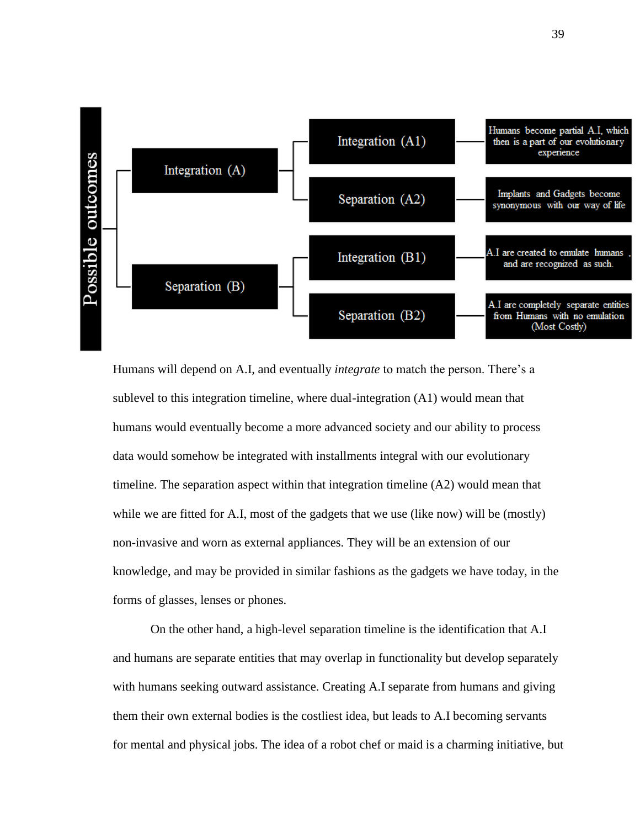

Humans will depend on A.I, and eventually *integrate* to match the person. There's a sublevel to this integration timeline, where dual-integration (A1) would mean that humans would eventually become a more advanced society and our ability to process data would somehow be integrated with installments integral with our evolutionary timeline. The separation aspect within that integration timeline (A2) would mean that while we are fitted for A.I, most of the gadgets that we use (like now) will be (mostly) non-invasive and worn as external appliances. They will be an extension of our knowledge, and may be provided in similar fashions as the gadgets we have today, in the forms of glasses, lenses or phones.

On the other hand, a high-level separation timeline is the identification that A.I and humans are separate entities that may overlap in functionality but develop separately with humans seeking outward assistance. Creating A.I separate from humans and giving them their own external bodies is the costliest idea, but leads to A.I becoming servants for mental and physical jobs. The idea of a robot chef or maid is a charming initiative, but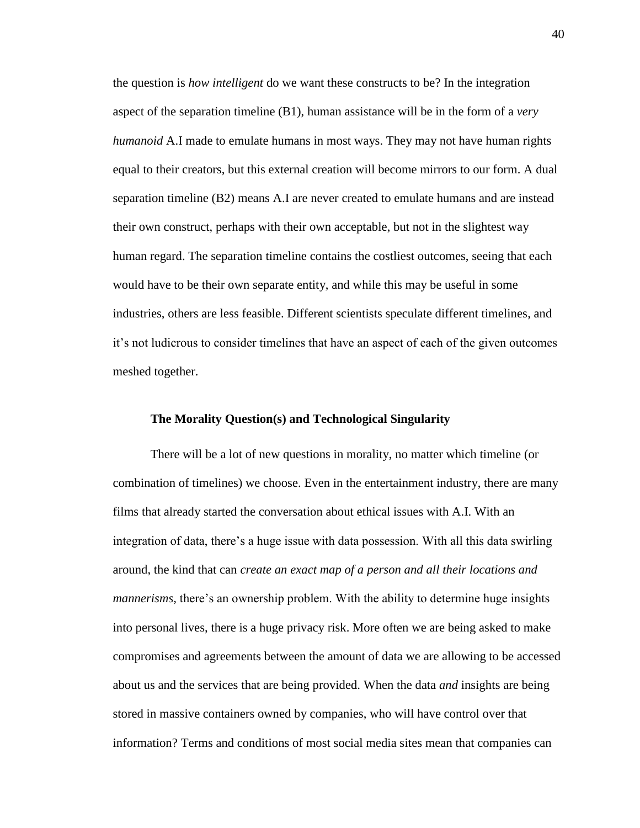the question is *how intelligent* do we want these constructs to be? In the integration aspect of the separation timeline (B1), human assistance will be in the form of a *very humanoid* A.I made to emulate humans in most ways. They may not have human rights equal to their creators, but this external creation will become mirrors to our form. A dual separation timeline (B2) means A.I are never created to emulate humans and are instead their own construct, perhaps with their own acceptable, but not in the slightest way human regard. The separation timeline contains the costliest outcomes, seeing that each would have to be their own separate entity, and while this may be useful in some industries, others are less feasible. Different scientists speculate different timelines, and it's not ludicrous to consider timelines that have an aspect of each of the given outcomes meshed together.

## <span id="page-41-0"></span>**The Morality Question(s) and Technological Singularity**

There will be a lot of new questions in morality, no matter which timeline (or combination of timelines) we choose. Even in the entertainment industry, there are many films that already started the conversation about ethical issues with A.I. With an integration of data, there's a huge issue with data possession. With all this data swirling around, the kind that can *create an exact map of a person and all their locations and mannerisms*, there's an ownership problem. With the ability to determine huge insights into personal lives, there is a huge privacy risk. More often we are being asked to make compromises and agreements between the amount of data we are allowing to be accessed about us and the services that are being provided. When the data *and* insights are being stored in massive containers owned by companies, who will have control over that information? Terms and conditions of most social media sites mean that companies can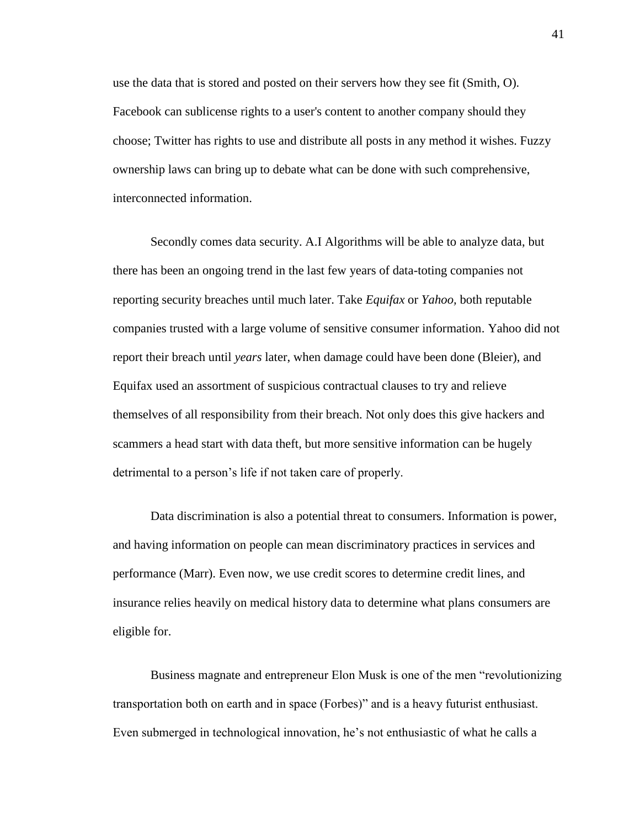use the data that is stored and posted on their servers how they see fit (Smith, O). Facebook can sublicense rights to a user's content to another company should they choose; Twitter has rights to use and distribute all posts in any method it wishes. Fuzzy ownership laws can bring up to debate what can be done with such comprehensive, interconnected information.

Secondly comes data security. A.I Algorithms will be able to analyze data, but there has been an ongoing trend in the last few years of data-toting companies not reporting security breaches until much later. Take *Equifax* or *Yahoo,* both reputable companies trusted with a large volume of sensitive consumer information. Yahoo did not report their breach until *years* later, when damage could have been done (Bleier), and Equifax used an assortment of suspicious contractual clauses to try and relieve themselves of all responsibility from their breach. Not only does this give hackers and scammers a head start with data theft, but more sensitive information can be hugely detrimental to a person's life if not taken care of properly.

Data discrimination is also a potential threat to consumers. Information is power, and having information on people can mean discriminatory practices in services and performance (Marr). Even now, we use credit scores to determine credit lines, and insurance relies heavily on medical history data to determine what plans consumers are eligible for.

Business magnate and entrepreneur Elon Musk is one of the men "revolutionizing transportation both on earth and in space (Forbes)" and is a heavy futurist enthusiast. Even submerged in technological innovation, he's not enthusiastic of what he calls a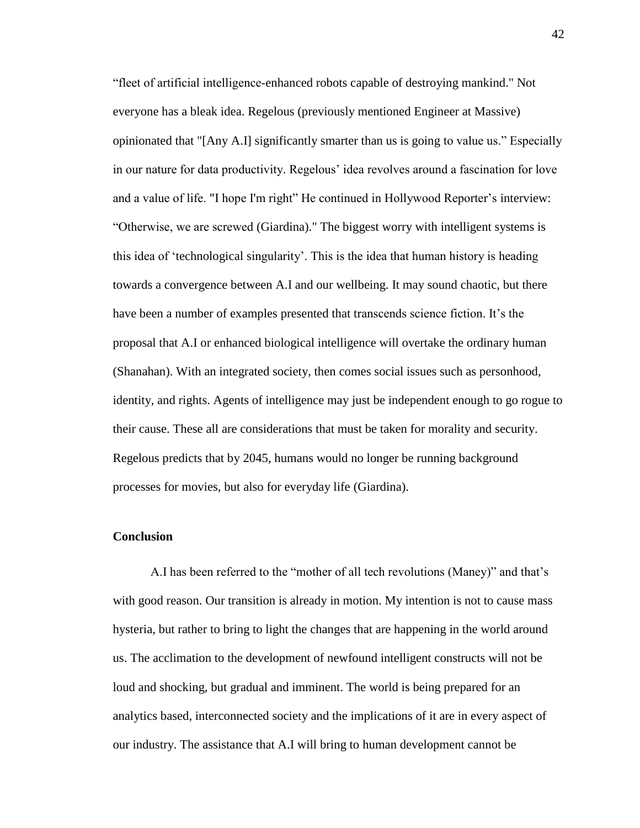"fleet of artificial intelligence-enhanced robots capable of destroying mankind." Not everyone has a bleak idea. Regelous (previously mentioned Engineer at Massive) opinionated that "[Any A.I] significantly smarter than us is going to value us." Especially in our nature for data productivity. Regelous' idea revolves around a fascination for love and a value of life. "I hope I'm right" He continued in Hollywood Reporter's interview: "Otherwise, we are screwed (Giardina)." The biggest worry with intelligent systems is this idea of 'technological singularity'. This is the idea that human history is heading towards a convergence between A.I and our wellbeing. It may sound chaotic, but there have been a number of examples presented that transcends science fiction. It's the proposal that A.I or enhanced biological intelligence will overtake the ordinary human (Shanahan). With an integrated society, then comes social issues such as personhood, identity, and rights. Agents of intelligence may just be independent enough to go rogue to their cause. These all are considerations that must be taken for morality and security. Regelous predicts that by 2045, humans would no longer be running background processes for movies, but also for everyday life (Giardina).

## <span id="page-43-0"></span>**Conclusion**

A.I has been referred to the "mother of all tech revolutions (Maney)" and that's with good reason. Our transition is already in motion. My intention is not to cause mass hysteria, but rather to bring to light the changes that are happening in the world around us. The acclimation to the development of newfound intelligent constructs will not be loud and shocking, but gradual and imminent. The world is being prepared for an analytics based, interconnected society and the implications of it are in every aspect of our industry. The assistance that A.I will bring to human development cannot be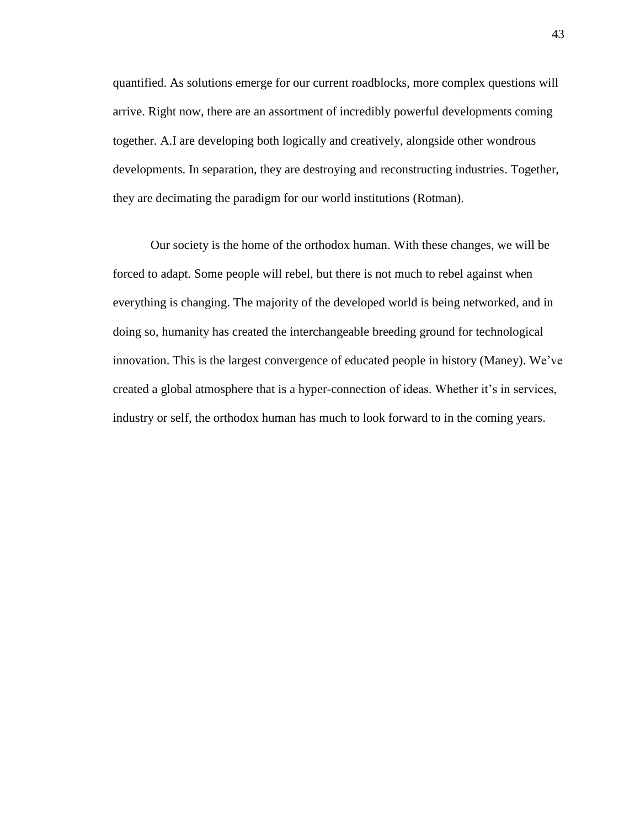quantified. As solutions emerge for our current roadblocks, more complex questions will arrive. Right now, there are an assortment of incredibly powerful developments coming together. A.I are developing both logically and creatively, alongside other wondrous developments. In separation, they are destroying and reconstructing industries. Together, they are decimating the paradigm for our world institutions (Rotman).

Our society is the home of the orthodox human. With these changes, we will be forced to adapt. Some people will rebel, but there is not much to rebel against when everything is changing. The majority of the developed world is being networked, and in doing so, humanity has created the interchangeable breeding ground for technological innovation. This is the largest convergence of educated people in history (Maney). We've created a global atmosphere that is a hyper-connection of ideas. Whether it's in services, industry or self, the orthodox human has much to look forward to in the coming years.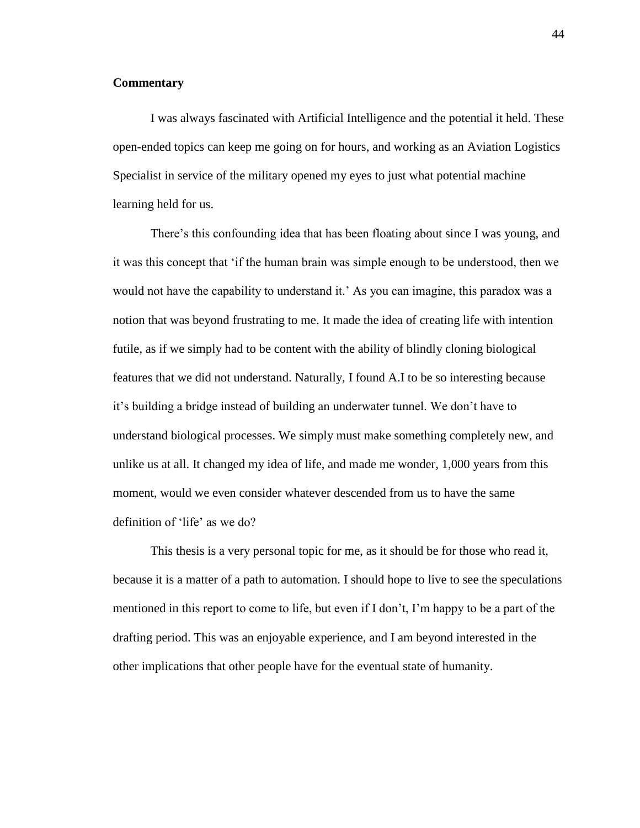## <span id="page-45-0"></span>**Commentary**

I was always fascinated with Artificial Intelligence and the potential it held. These open-ended topics can keep me going on for hours, and working as an Aviation Logistics Specialist in service of the military opened my eyes to just what potential machine learning held for us.

There's this confounding idea that has been floating about since I was young, and it was this concept that 'if the human brain was simple enough to be understood, then we would not have the capability to understand it.' As you can imagine, this paradox was a notion that was beyond frustrating to me. It made the idea of creating life with intention futile, as if we simply had to be content with the ability of blindly cloning biological features that we did not understand. Naturally, I found A.I to be so interesting because it's building a bridge instead of building an underwater tunnel. We don't have to understand biological processes. We simply must make something completely new, and unlike us at all. It changed my idea of life, and made me wonder, 1,000 years from this moment, would we even consider whatever descended from us to have the same definition of 'life' as we do?

This thesis is a very personal topic for me, as it should be for those who read it, because it is a matter of a path to automation. I should hope to live to see the speculations mentioned in this report to come to life, but even if I don't, I'm happy to be a part of the drafting period. This was an enjoyable experience, and I am beyond interested in the other implications that other people have for the eventual state of humanity.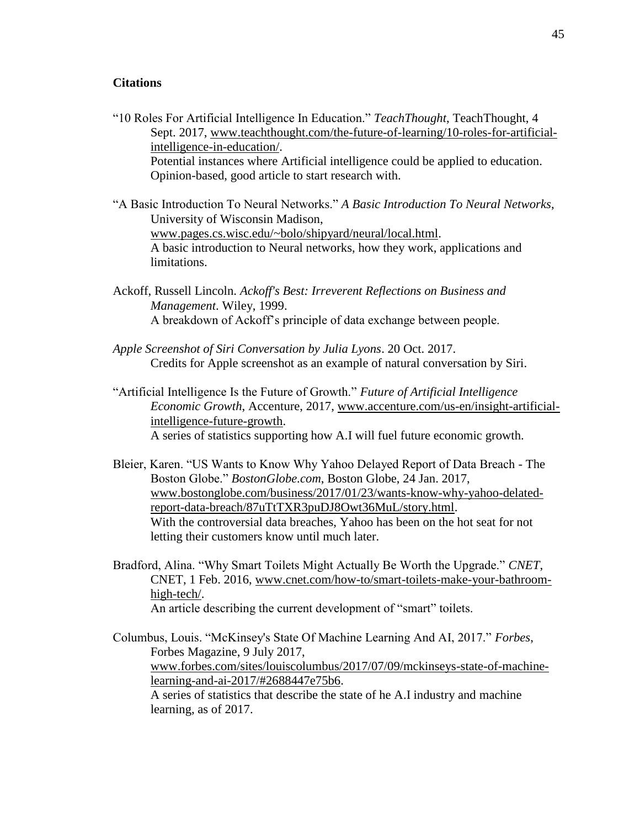## <span id="page-46-0"></span>**Citations**

- "10 Roles For Artificial Intelligence In Education." *TeachThought*, TeachThought, 4 Sept. 2017, [www.teachthought.com/the-future-of-learning/10-roles-for-artificial](http://www.teachthought.com/the-future-of-learning/10-roles-for-artificial-intelligence-in-education/)[intelligence-in-education/.](http://www.teachthought.com/the-future-of-learning/10-roles-for-artificial-intelligence-in-education/) Potential instances where Artificial intelligence could be applied to education. Opinion-based, good article to start research with.
- "A Basic Introduction To Neural Networks." *A Basic Introduction To Neural Networks*, University of Wisconsin Madison, [www.pages.cs.wisc.edu/~bolo/shipyard/neural/local.html.](http://www.pages.cs.wisc.edu/~bolo/shipyard/neural/local.html) A basic introduction to Neural networks, how they work, applications and limitations.
- Ackoff, Russell Lincoln. *Ackoff's Best: Irreverent Reflections on Business and Management*. Wiley, 1999. A breakdown of Ackoff's principle of data exchange between people.
- *Apple Screenshot of Siri Conversation by Julia Lyons*. 20 Oct. 2017. Credits for Apple screenshot as an example of natural conversation by Siri.
- "Artificial Intelligence Is the Future of Growth." *Future of Artificial Intelligence Economic Growth*, Accenture, 2017, [www.accenture.com/us-en/insight-artificial](http://www.accenture.com/us-en/insight-artificial-intelligence-future-growth)[intelligence-future-growth.](http://www.accenture.com/us-en/insight-artificial-intelligence-future-growth) A series of statistics supporting how A.I will fuel future economic growth.
- Bleier, Karen. "US Wants to Know Why Yahoo Delayed Report of Data Breach The Boston Globe." *BostonGlobe.com*, Boston Globe, 24 Jan. 2017, [www.bostonglobe.com/business/2017/01/23/wants-know-why-yahoo-delated](http://www.bostonglobe.com/business/2017/01/23/wants-know-why-yahoo-delated-report-data-breach/87uTtTXR3puDJ8Owt36MuL/story.html)[report-data-breach/87uTtTXR3puDJ8Owt36MuL/story.html.](http://www.bostonglobe.com/business/2017/01/23/wants-know-why-yahoo-delated-report-data-breach/87uTtTXR3puDJ8Owt36MuL/story.html) With the controversial data breaches, Yahoo has been on the hot seat for not letting their customers know until much later.
- Bradford, Alina. "Why Smart Toilets Might Actually Be Worth the Upgrade." *CNET*, CNET, 1 Feb. 2016, [www.cnet.com/how-to/smart-toilets-make-your-bathroom](http://www.cnet.com/how-to/smart-toilets-make-your-bathroom-high-tech/)[high-tech/.](http://www.cnet.com/how-to/smart-toilets-make-your-bathroom-high-tech/) An article describing the current development of "smart" toilets.

Columbus, Louis. "McKinsey's State Of Machine Learning And AI, 2017." *Forbes*, Forbes Magazine, 9 July 2017, [www.forbes.com/sites/louiscolumbus/2017/07/09/mckinseys-state-of-machine](http://www.forbes.com/sites/louiscolumbus/2017/07/09/mckinseys-state-of-machine-learning-and-ai-2017/#2688447e75b6)[learning-and-ai-2017/#2688447e75b6.](http://www.forbes.com/sites/louiscolumbus/2017/07/09/mckinseys-state-of-machine-learning-and-ai-2017/#2688447e75b6) A series of statistics that describe the state of he A.I industry and machine learning, as of 2017.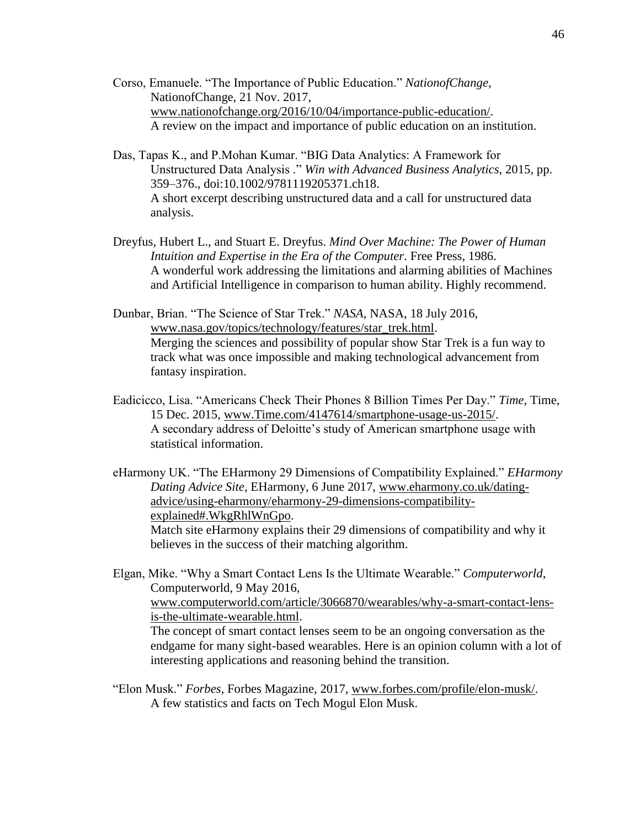- Corso, Emanuele. "The Importance of Public Education." *NationofChange*, NationofChange, 21 Nov. 2017, [www.nationofchange.org/2016/10/04/importance-public-education/.](http://www.nationofchange.org/2016/10/04/importance-public-education/) A review on the impact and importance of public education on an institution.
- Das, Tapas K., and P.Mohan Kumar. "BIG Data Analytics: A Framework for Unstructured Data Analysis ." *Win with Advanced Business Analytics*, 2015, pp. 359–376., doi:10.1002/9781119205371.ch18. A short excerpt describing unstructured data and a call for unstructured data analysis.
- Dreyfus, Hubert L., and Stuart E. Dreyfus. *Mind Over Machine: The Power of Human Intuition and Expertise in the Era of the Computer*. Free Press, 1986. A wonderful work addressing the limitations and alarming abilities of Machines and Artificial Intelligence in comparison to human ability. Highly recommend.
- Dunbar, Brian. "The Science of Star Trek." *NASA*, NASA, 18 July 2016, [www.nasa.gov/topics/technology/features/star\\_trek.html.](http://www.nasa.gov/topics/technology/features/star_trek.html) Merging the sciences and possibility of popular show Star Trek is a fun way to track what was once impossible and making technological advancement from fantasy inspiration.
- Eadicicco, Lisa. "Americans Check Their Phones 8 Billion Times Per Day." *Time*, Time, 15 Dec. 2015, [www.Time.com/4147614/smartphone-usage-us-2015/.](http://www.time.com/4147614/smartphone-usage-us-2015/) A secondary address of Deloitte's study of American smartphone usage with statistical information.
- eHarmony UK. "The EHarmony 29 Dimensions of Compatibility Explained." *EHarmony Dating Advice Site*, EHarmony, 6 June 2017, [www.eharmony.co.uk/dating](http://www.eharmony.co.uk/dating-advice/using-eharmony/eharmony-29-dimensions-compatibility-explained#.WkgRhlWnGpo)[advice/using-eharmony/eharmony-29-dimensions-compatibility](http://www.eharmony.co.uk/dating-advice/using-eharmony/eharmony-29-dimensions-compatibility-explained#.WkgRhlWnGpo)[explained#.WkgRhlWnGpo.](http://www.eharmony.co.uk/dating-advice/using-eharmony/eharmony-29-dimensions-compatibility-explained#.WkgRhlWnGpo) Match site eHarmony explains their 29 dimensions of compatibility and why it believes in the success of their matching algorithm.

Elgan, Mike. "Why a Smart Contact Lens Is the Ultimate Wearable." *Computerworld*, Computerworld, 9 May 2016, [www.computerworld.com/article/3066870/wearables/why-a-smart-contact-lens](http://www.computerworld.com/article/3066870/wearables/why-a-smart-contact-lens-is-the-ultimate-wearable.html)[is-the-ultimate-wearable.html.](http://www.computerworld.com/article/3066870/wearables/why-a-smart-contact-lens-is-the-ultimate-wearable.html) The concept of smart contact lenses seem to be an ongoing conversation as the endgame for many sight-based wearables. Here is an opinion column with a lot of interesting applications and reasoning behind the transition.

"Elon Musk." *Forbes*, Forbes Magazine, 2017, [www.forbes.com/profile/elon-musk/.](http://www.forbes.com/profile/elon-musk/) A few statistics and facts on Tech Mogul Elon Musk.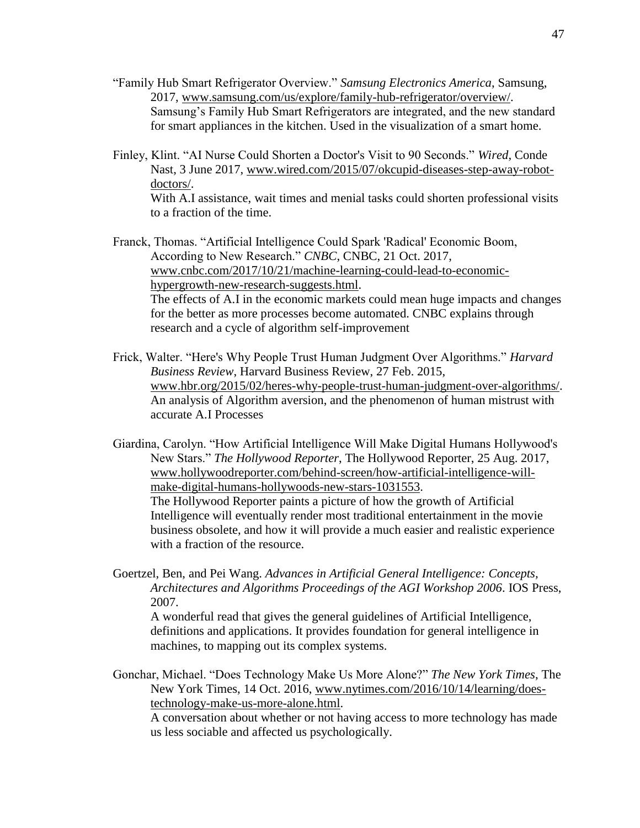- "Family Hub Smart Refrigerator Overview." *Samsung Electronics America*, Samsung, 2017, [www.samsung.com/us/explore/family-hub-refrigerator/overview/.](http://www.samsung.com/us/explore/family-hub-refrigerator/overview/) Samsung's Family Hub Smart Refrigerators are integrated, and the new standard for smart appliances in the kitchen. Used in the visualization of a smart home.
- Finley, Klint. "AI Nurse Could Shorten a Doctor's Visit to 90 Seconds." *Wired*, Conde Nast, 3 June 2017, [www.wired.com/2015/07/okcupid-diseases-step-away-robot](http://www.wired.com/2015/07/okcupid-diseases-step-away-robot-doctors/)[doctors/.](http://www.wired.com/2015/07/okcupid-diseases-step-away-robot-doctors/) With A.I assistance, wait times and menial tasks could shorten professional visits to a fraction of the time.

Franck, Thomas. "Artificial Intelligence Could Spark 'Radical' Economic Boom, According to New Research." *CNBC*, CNBC, 21 Oct. 2017, [www.cnbc.com/2017/10/21/machine-learning-could-lead-to-economic](http://www.cnbc.com/2017/10/21/machine-learning-could-lead-to-economic-hypergrowth-new-research-suggests.html)[hypergrowth-new-research-suggests.html.](http://www.cnbc.com/2017/10/21/machine-learning-could-lead-to-economic-hypergrowth-new-research-suggests.html) The effects of A.I in the economic markets could mean huge impacts and changes for the better as more processes become automated. CNBC explains through research and a cycle of algorithm self-improvement

Frick, Walter. "Here's Why People Trust Human Judgment Over Algorithms." *Harvard Business Review*, Harvard Business Review, 27 Feb. 2015, [www.hbr.org/2015/02/heres-why-people-trust-human-judgment-over-algorithms/.](http://www.hbr.org/2015/02/heres-why-people-trust-human-judgment-over-algorithms/) An analysis of Algorithm aversion, and the phenomenon of human mistrust with accurate A.I Processes

Giardina, Carolyn. "How Artificial Intelligence Will Make Digital Humans Hollywood's New Stars." *The Hollywood Reporter*, The Hollywood Reporter, 25 Aug. 2017, [www.hollywoodreporter.com/behind-screen/how-artificial-intelligence-will](http://www.hollywoodreporter.com/behind-screen/how-artificial-intelligence-will-make-digital-humans-hollywoods-new-stars-1031553)[make-digital-humans-hollywoods-new-stars-1031553.](http://www.hollywoodreporter.com/behind-screen/how-artificial-intelligence-will-make-digital-humans-hollywoods-new-stars-1031553) The Hollywood Reporter paints a picture of how the growth of Artificial Intelligence will eventually render most traditional entertainment in the movie business obsolete, and how it will provide a much easier and realistic experience with a fraction of the resource.

Goertzel, Ben, and Pei Wang. *Advances in Artificial General Intelligence: Concepts, Architectures and Algorithms Proceedings of the AGI Workshop 2006*. IOS Press, 2007.

A wonderful read that gives the general guidelines of Artificial Intelligence, definitions and applications. It provides foundation for general intelligence in machines, to mapping out its complex systems.

Gonchar, Michael. "Does Technology Make Us More Alone?" *The New York Times*, The New York Times, 14 Oct. 2016, [www.nytimes.com/2016/10/14/learning/does](http://www.nytimes.com/2016/10/14/learning/does-technology-make-us-more-alone.html)[technology-make-us-more-alone.html.](http://www.nytimes.com/2016/10/14/learning/does-technology-make-us-more-alone.html)

A conversation about whether or not having access to more technology has made us less sociable and affected us psychologically.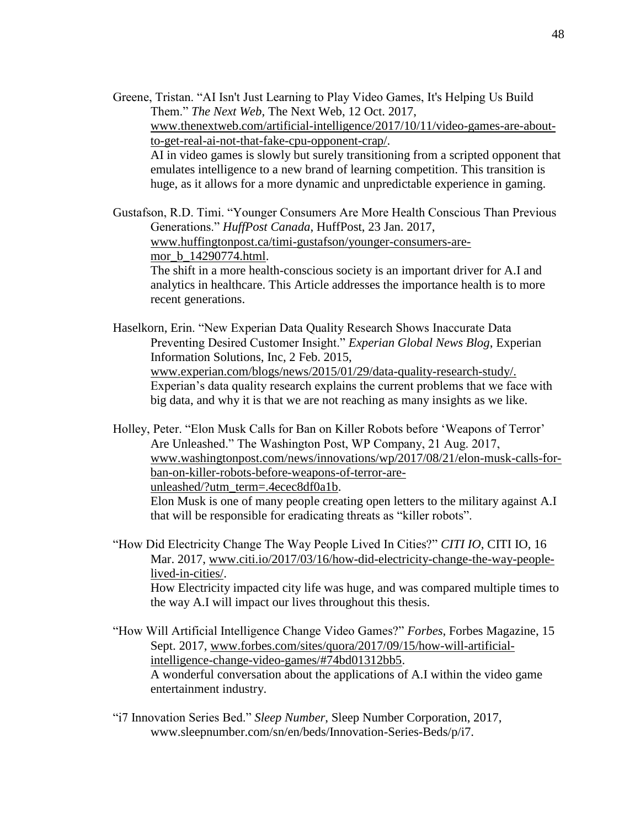Greene, Tristan. "AI Isn't Just Learning to Play Video Games, It's Helping Us Build Them." *The Next Web*, The Next Web, 12 Oct. 2017, [www.thenextweb.com/artificial-intelligence/2017/10/11/video-games-are-about](http://www.thenextweb.com/artificial-intelligence/2017/10/11/video-games-are-about-to-get-real-ai-not-that-fake-cpu-opponent-crap/)[to-get-real-ai-not-that-fake-cpu-opponent-crap/.](http://www.thenextweb.com/artificial-intelligence/2017/10/11/video-games-are-about-to-get-real-ai-not-that-fake-cpu-opponent-crap/) AI in video games is slowly but surely transitioning from a scripted opponent that emulates intelligence to a new brand of learning competition. This transition is huge, as it allows for a more dynamic and unpredictable experience in gaming.

Gustafson, R.D. Timi. "Younger Consumers Are More Health Conscious Than Previous Generations." *HuffPost Canada*, HuffPost, 23 Jan. 2017, [www.huffingtonpost.ca/timi-gustafson/younger-consumers-are](http://www.huffingtonpost.ca/timi-gustafson/younger-consumers-are-mor_b_14290774.html)[mor\\_b\\_14290774.html.](http://www.huffingtonpost.ca/timi-gustafson/younger-consumers-are-mor_b_14290774.html) The shift in a more health-conscious society is an important driver for A.I and analytics in healthcare. This Article addresses the importance health is to more recent generations.

Haselkorn, Erin. "New Experian Data Quality Research Shows Inaccurate Data Preventing Desired Customer Insight." *Experian Global News Blog*, Experian Information Solutions, Inc, 2 Feb. 2015, www.experian.com/blogs/news/2015/01/29/data-quality-research-study/. Experian's data quality research explains the current problems that we face with big data, and why it is that we are not reaching as many insights as we like.

Holley, Peter. "Elon Musk Calls for Ban on Killer Robots before 'Weapons of Terror' Are Unleashed." The Washington Post, WP Company, 21 Aug. 2017, [www.washingtonpost.com/news/innovations/wp/2017/08/21/elon-musk-calls-for](http://www.washingtonpost.com/news/innovations/wp/2017/08/21/elon-musk-calls-for-ban-on-killer-robots-before-weapons-of-terror-are-unleashed/?utm_term=.4ecec8df0a1b)[ban-on-killer-robots-before-weapons-of-terror-are](http://www.washingtonpost.com/news/innovations/wp/2017/08/21/elon-musk-calls-for-ban-on-killer-robots-before-weapons-of-terror-are-unleashed/?utm_term=.4ecec8df0a1b)[unleashed/?utm\\_term=.4ecec8df0a1b.](http://www.washingtonpost.com/news/innovations/wp/2017/08/21/elon-musk-calls-for-ban-on-killer-robots-before-weapons-of-terror-are-unleashed/?utm_term=.4ecec8df0a1b)

Elon Musk is one of many people creating open letters to the military against A.I that will be responsible for eradicating threats as "killer robots".

"How Did Electricity Change The Way People Lived In Cities?" *CITI IO*, CITI IO, 16 Mar. 2017, [www.citi.io/2017/03/16/how-did-electricity-change-the-way-people](http://www.citi.io/2017/03/16/how-did-electricity-change-the-way-people-lived-in-cities/)[lived-in-cities/.](http://www.citi.io/2017/03/16/how-did-electricity-change-the-way-people-lived-in-cities/) How Electricity impacted city life was huge, and was compared multiple times to the way A.I will impact our lives throughout this thesis.

"How Will Artificial Intelligence Change Video Games?" *Forbes*, Forbes Magazine, 15 Sept. 2017, [www.forbes.com/sites/quora/2017/09/15/how-will-artificial](http://www.forbes.com/sites/quora/2017/09/15/how-will-artificial-intelligence-change-video-games/#74bd01312bb5)[intelligence-change-video-games/#74bd01312bb5.](http://www.forbes.com/sites/quora/2017/09/15/how-will-artificial-intelligence-change-video-games/#74bd01312bb5) A wonderful conversation about the applications of A.I within the video game entertainment industry.

"i7 Innovation Series Bed." *Sleep Number*, Sleep Number Corporation, 2017, www.sleepnumber.com/sn/en/beds/Innovation-Series-Beds/p/i7.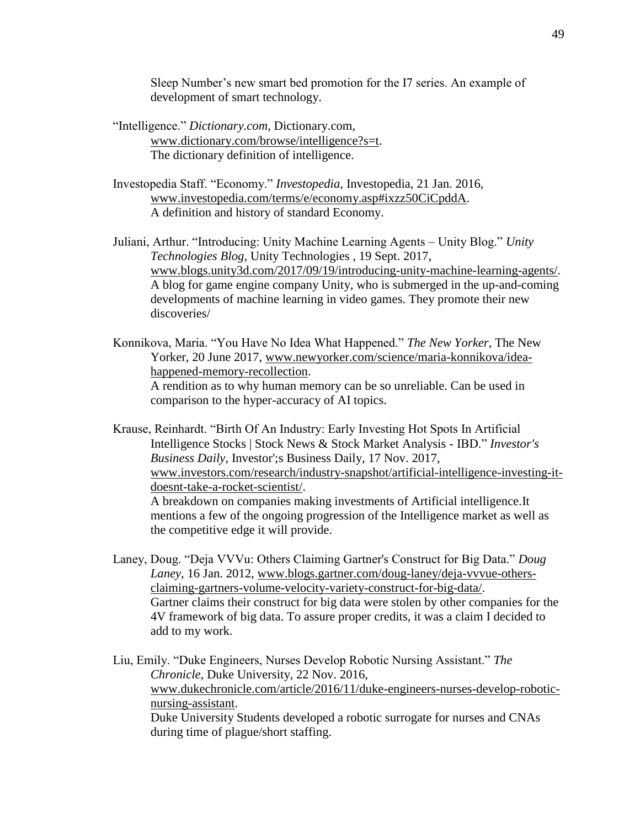Sleep Number's new smart bed promotion for the I7 series. An example of development of smart technology.

- "Intelligence." *Dictionary.com*, Dictionary.com, [www.dictionary.com/browse/intelligence?s=t.](http://www.dictionary.com/browse/intelligence?s=t) The dictionary definition of intelligence.
- Investopedia Staff. "Economy." *Investopedia*, Investopedia, 21 Jan. 2016, [www.investopedia.com/terms/e/economy.asp#ixzz50CiCpddA.](http://www.investopedia.com/terms/e/economy.asp#ixzz50CiCpddA) A definition and history of standard Economy.
- Juliani, Arthur. "Introducing: Unity Machine Learning Agents Unity Blog." *Unity Technologies Blog*, Unity Technologies , 19 Sept. 2017, [www.blogs.unity3d.com/2017/09/19/introducing-unity-machine-learning-agents/.](http://www.blogs.unity3d.com/2017/09/19/introducing-unity-machine-learning-agents/) A blog for game engine company Unity, who is submerged in the up-and-coming developments of machine learning in video games. They promote their new discoveries/
- Konnikova, Maria. "You Have No Idea What Happened." *The New Yorker*, The New Yorker, 20 June 2017, [www.newyorker.com/science/maria-konnikova/idea](http://www.newyorker.com/science/maria-konnikova/idea-happened-memory-recollection)[happened-memory-recollection.](http://www.newyorker.com/science/maria-konnikova/idea-happened-memory-recollection) A rendition as to why human memory can be so unreliable. Can be used in comparison to the hyper-accuracy of AI topics.
- Krause, Reinhardt. "Birth Of An Industry: Early Investing Hot Spots In Artificial Intelligence Stocks | Stock News & Stock Market Analysis - IBD." *Investor's Business Daily*, Investor';s Business Daily, 17 Nov. 2017, [www.investors.com/research/industry-snapshot/artificial-intelligence-investing-it](http://www.investors.com/research/industry-snapshot/artificial-intelligence-investing-it-doesnt-take-a-rocket-scientist/)[doesnt-take-a-rocket-scientist/.](http://www.investors.com/research/industry-snapshot/artificial-intelligence-investing-it-doesnt-take-a-rocket-scientist/) A breakdown on companies making investments of Artificial intelligence.It mentions a few of the ongoing progression of the Intelligence market as well as the competitive edge it will provide.
- Laney, Doug. "Deja VVVu: Others Claiming Gartner's Construct for Big Data." *Doug Laney*, 16 Jan. 2012, [www.blogs.gartner.com/doug-laney/deja-vvvue-others](http://www.blogs.gartner.com/doug-laney/deja-vvvue-others-claiming-gartners-volume-velocity-variety-construct-for-big-data/)[claiming-gartners-volume-velocity-variety-construct-for-big-data/.](http://www.blogs.gartner.com/doug-laney/deja-vvvue-others-claiming-gartners-volume-velocity-variety-construct-for-big-data/) Gartner claims their construct for big data were stolen by other companies for the 4V framework of big data. To assure proper credits, it was a claim I decided to add to my work.
- Liu, Emily. "Duke Engineers, Nurses Develop Robotic Nursing Assistant." *The Chronicle*, Duke University, 22 Nov. 2016, [www.dukechronicle.com/article/2016/11/duke-engineers-nurses-develop-robotic](http://www.dukechronicle.com/article/2016/11/duke-engineers-nurses-develop-robotic-nursing-assistant)[nursing-assistant.](http://www.dukechronicle.com/article/2016/11/duke-engineers-nurses-develop-robotic-nursing-assistant) Duke University Students developed a robotic surrogate for nurses and CNAs during time of plague/short staffing.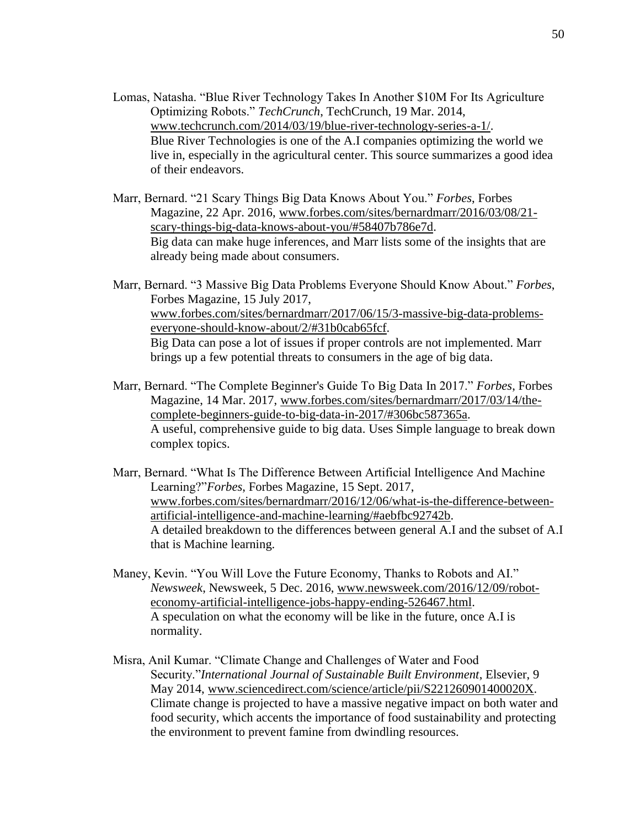- Lomas, Natasha. "Blue River Technology Takes In Another \$10M For Its Agriculture Optimizing Robots." *TechCrunch*, TechCrunch, 19 Mar. 2014, [www.techcrunch.com/2014/03/19/blue-river-technology-series-a-1/.](http://www.techcrunch.com/2014/03/19/blue-river-technology-series-a-1/) Blue River Technologies is one of the A.I companies optimizing the world we live in, especially in the agricultural center. This source summarizes a good idea of their endeavors.
- Marr, Bernard. "21 Scary Things Big Data Knows About You." *Forbes*, Forbes Magazine, 22 Apr. 2016, [www.forbes.com/sites/bernardmarr/2016/03/08/21](http://www.forbes.com/sites/bernardmarr/2016/03/08/21-scary-things-big-data-knows-about-you/#58407b786e7d) [scary-things-big-data-knows-about-you/#58407b786e7d.](http://www.forbes.com/sites/bernardmarr/2016/03/08/21-scary-things-big-data-knows-about-you/#58407b786e7d) Big data can make huge inferences, and Marr lists some of the insights that are already being made about consumers.
- Marr, Bernard. "3 Massive Big Data Problems Everyone Should Know About." *Forbes*, Forbes Magazine, 15 July 2017, [www.forbes.com/sites/bernardmarr/2017/06/15/3-massive-big-data-problems](http://www.forbes.com/sites/bernardmarr/2017/06/15/3-massive-big-data-problems-everyone-should-know-about/2/#31b0cab65fcf)[everyone-should-know-about/2/#31b0cab65fcf.](http://www.forbes.com/sites/bernardmarr/2017/06/15/3-massive-big-data-problems-everyone-should-know-about/2/#31b0cab65fcf) Big Data can pose a lot of issues if proper controls are not implemented. Marr brings up a few potential threats to consumers in the age of big data.
- Marr, Bernard. "The Complete Beginner's Guide To Big Data In 2017." *Forbes*, Forbes Magazine, 14 Mar. 2017, [www.forbes.com/sites/bernardmarr/2017/03/14/the](http://www.forbes.com/sites/bernardmarr/2017/03/14/the-complete-beginners-guide-to-big-data-in-2017/#306bc587365a)[complete-beginners-guide-to-big-data-in-2017/#306bc587365a.](http://www.forbes.com/sites/bernardmarr/2017/03/14/the-complete-beginners-guide-to-big-data-in-2017/#306bc587365a) A useful, comprehensive guide to big data. Uses Simple language to break down complex topics.
- Marr, Bernard. "What Is The Difference Between Artificial Intelligence And Machine Learning?"*Forbes*, Forbes Magazine, 15 Sept. 2017, [www.forbes.com/sites/bernardmarr/2016/12/06/what-is-the-difference-between](http://www.forbes.com/sites/bernardmarr/2016/12/06/what-is-the-difference-between-artificial-intelligence-and-machine-learning/#aebfbc92742b)[artificial-intelligence-and-machine-learning/#aebfbc92742b.](http://www.forbes.com/sites/bernardmarr/2016/12/06/what-is-the-difference-between-artificial-intelligence-and-machine-learning/#aebfbc92742b) A detailed breakdown to the differences between general A.I and the subset of A.I that is Machine learning.
- Maney, Kevin. "You Will Love the Future Economy, Thanks to Robots and AI." *Newsweek*, Newsweek, 5 Dec. 2016, [www.newsweek.com/2016/12/09/robot](http://www.newsweek.com/2016/12/09/robot-economy-artificial-intelligence-jobs-happy-ending-526467.html)[economy-artificial-intelligence-jobs-happy-ending-526467.html.](http://www.newsweek.com/2016/12/09/robot-economy-artificial-intelligence-jobs-happy-ending-526467.html) A speculation on what the economy will be like in the future, once A.I is normality.
- Misra, Anil Kumar. "Climate Change and Challenges of Water and Food Security."*International Journal of Sustainable Built Environment*, Elsevier, 9 May 2014, [www.sciencedirect.com/science/article/pii/S221260901400020X.](http://www.sciencedirect.com/science/article/pii/S221260901400020X) Climate change is projected to have a massive negative impact on both water and food security, which accents the importance of food sustainability and protecting the environment to prevent famine from dwindling resources.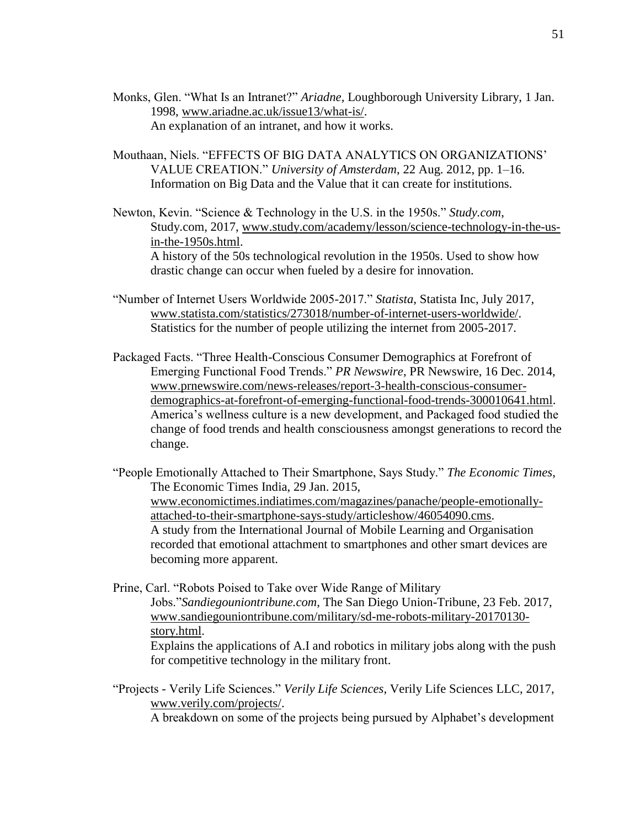- Monks, Glen. "What Is an Intranet?" *Ariadne*, Loughborough University Library, 1 Jan. 1998, [www.ariadne.ac.uk/issue13/what-is/.](http://www.ariadne.ac.uk/issue13/what-is/) An explanation of an intranet, and how it works.
- Mouthaan, Niels. "EFFECTS OF BIG DATA ANALYTICS ON ORGANIZATIONS' VALUE CREATION." *University of Amsterdam*, 22 Aug. 2012, pp. 1–16. Information on Big Data and the Value that it can create for institutions.

Newton, Kevin. "Science & Technology in the U.S. in the 1950s." *Study.com*, Study.com, 2017, [www.study.com/academy/lesson/science-technology-in-the-us](http://www.study.com/academy/lesson/science-technology-in-the-us-in-the-1950s.html)[in-the-1950s.html.](http://www.study.com/academy/lesson/science-technology-in-the-us-in-the-1950s.html) A history of the 50s technological revolution in the 1950s. Used to show how drastic change can occur when fueled by a desire for innovation.

- "Number of Internet Users Worldwide 2005-2017." *Statista*, Statista Inc, July 2017, [www.statista.com/statistics/273018/number-of-internet-users-worldwide/.](http://www.statista.com/statistics/273018/number-of-internet-users-worldwide/) Statistics for the number of people utilizing the internet from 2005-2017.
- Packaged Facts. "Three Health-Conscious Consumer Demographics at Forefront of Emerging Functional Food Trends." *PR Newswire*, PR Newswire, 16 Dec. 2014, [www.prnewswire.com/news-releases/report-3-health-conscious-consumer](http://www.prnewswire.com/news-releases/report-3-health-conscious-consumer-demographics-at-forefront-of-emerging-functional-food-trends-300010641.html)[demographics-at-forefront-of-emerging-functional-food-trends-300010641.html.](http://www.prnewswire.com/news-releases/report-3-health-conscious-consumer-demographics-at-forefront-of-emerging-functional-food-trends-300010641.html) America's wellness culture is a new development, and Packaged food studied the change of food trends and health consciousness amongst generations to record the change.

"People Emotionally Attached to Their Smartphone, Says Study." *The Economic Times*, The Economic Times India, 29 Jan. 2015, [www.economictimes.indiatimes.com/magazines/panache/people-emotionally](http://www.economictimes.indiatimes.com/magazines/panache/people-emotionally-attached-to-their-smartphone-says-study/articleshow/46054090.cms)[attached-to-their-smartphone-says-study/articleshow/46054090.cms.](http://www.economictimes.indiatimes.com/magazines/panache/people-emotionally-attached-to-their-smartphone-says-study/articleshow/46054090.cms) A study from the International Journal of Mobile Learning and Organisation recorded that emotional attachment to smartphones and other smart devices are becoming more apparent.

Prine, Carl. "Robots Poised to Take over Wide Range of Military Jobs."*Sandiegouniontribune.com*, The San Diego Union-Tribune, 23 Feb. 2017, [www.sandiegouniontribune.com/military/sd-me-robots-military-20170130](http://www.sandiegouniontribune.com/military/sd-me-robots-military-20170130-story.html) [story.html.](http://www.sandiegouniontribune.com/military/sd-me-robots-military-20170130-story.html) Explains the applications of A.I and robotics in military jobs along with the push

for competitive technology in the military front.

"Projects - Verily Life Sciences." *Verily Life Sciences*, Verily Life Sciences LLC, 2017, [www.verily.com/projects/.](http://www.verily.com/projects/) A breakdown on some of the projects being pursued by Alphabet's development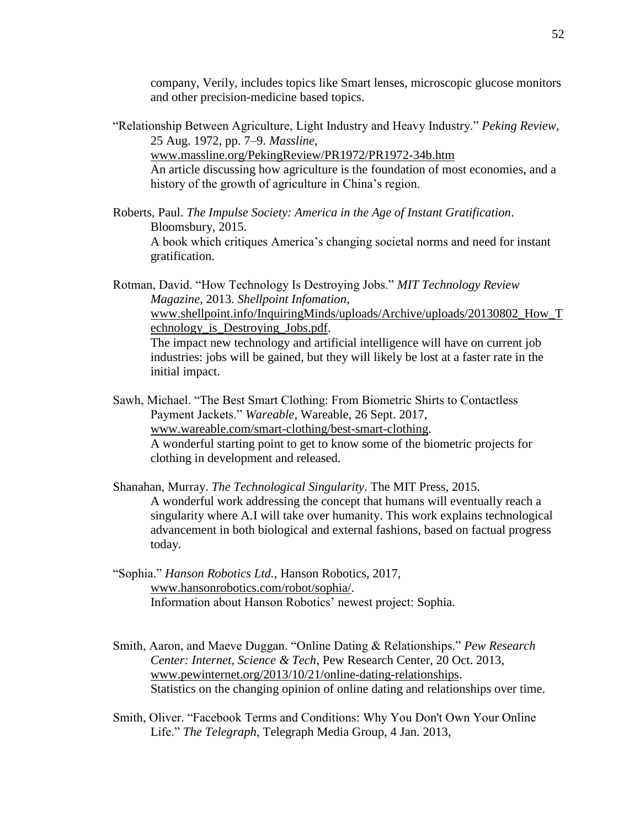company, Verily, includes topics like Smart lenses, microscopic glucose monitors and other precision-medicine based topics.

- "Relationship Between Agriculture, Light Industry and Heavy Industry." *Peking Review*, 25 Aug. 1972, pp. 7–9. *Massline*, [www.massline.org/PekingReview/PR1972/PR1972-34b.htm](http://www.massline.org/PekingReview/PR1972/PR1972-34b.htm) An article discussing how agriculture is the foundation of most economies, and a history of the growth of agriculture in China's region.
- Roberts, Paul. *The Impulse Society: America in the Age of Instant Gratification*. Bloomsbury, 2015. A book which critiques America's changing societal norms and need for instant gratification.

Rotman, David. "How Technology Is Destroying Jobs." *MIT Technology Review Magazine*, 2013. *Shellpoint Infomation*, [www.shellpoint.info/InquiringMinds/uploads/Archive/uploads/20130802\\_How\\_T](http://www.shellpoint.info/InquiringMinds/uploads/Archive/uploads/20130802_How_Technology_is_Destroying_Jobs.pdf) [echnology\\_is\\_Destroying\\_Jobs.pdf.](http://www.shellpoint.info/InquiringMinds/uploads/Archive/uploads/20130802_How_Technology_is_Destroying_Jobs.pdf) The impact new technology and artificial intelligence will have on current job industries: jobs will be gained, but they will likely be lost at a faster rate in the initial impact.

- Sawh, Michael. "The Best Smart Clothing: From Biometric Shirts to Contactless Payment Jackets." *Wareable*, Wareable, 26 Sept. 2017, [www.wareable.com/smart-clothing/best-smart-clothing.](http://www.wareable.com/smart-clothing/best-smart-clothing) A wonderful starting point to get to know some of the biometric projects for clothing in development and released.
- Shanahan, Murray. *The Technological Singularity*. The MIT Press, 2015. A wonderful work addressing the concept that humans will eventually reach a singularity where A.I will take over humanity. This work explains technological advancement in both biological and external fashions, based on factual progress today.
- "Sophia." *Hanson Robotics Ltd.*, Hanson Robotics, 2017, [www.hansonrobotics.com/robot/sophia/.](http://www.hansonrobotics.com/robot/sophia/) Information about Hanson Robotics' newest project: Sophia.
- Smith, Aaron, and Maeve Duggan. "Online Dating & Relationships." *Pew Research Center: Internet, Science & Tech*, Pew Research Center, 20 Oct. 2013, [www.pewinternet.org/2013/10/21/online-dating-relationships.](http://www.pewinternet.org/2013/10/21/online-dating-relationships) Statistics on the changing opinion of online dating and relationships over time.
- Smith, Oliver. "Facebook Terms and Conditions: Why You Don't Own Your Online Life." *The Telegraph*, Telegraph Media Group, 4 Jan. 2013,